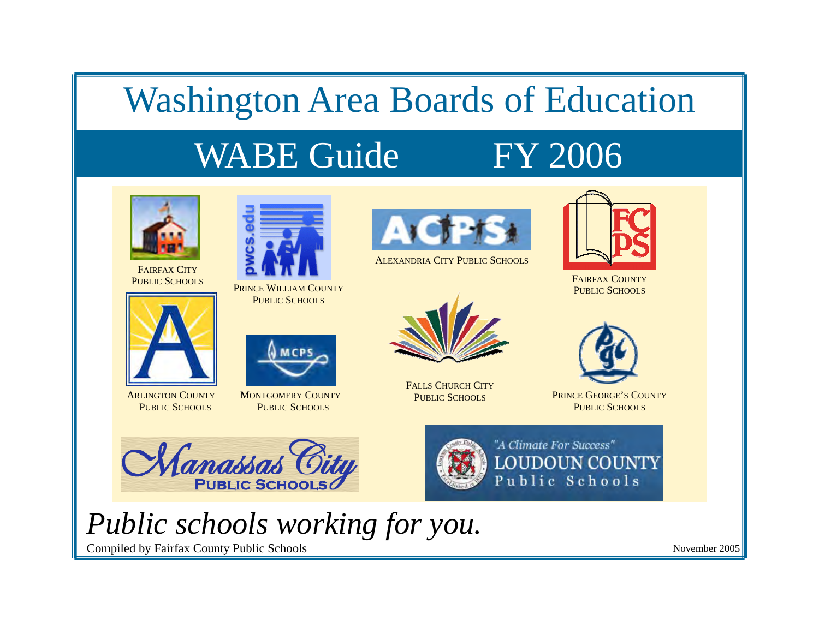## Washington Area Boards of Education

# WABE Guide FY 2006



FAIRFAX CITYPUBLIC SCHOOLS



PRINCE WILLIAM COUNTY PUBLIC SCHOOLS



ALEXANDRIA CITY PUBLIC SCHOOLS



FAIRFAX COUNTYPUBLIC SCHOOLS



ARLINGTON COUNTYPUBLIC SCHOOLS



MONTGOMERY COUNTYPUBLIC SCHOOLS



FALLS CHURCH CITYPUBLIC SCHOOLS



PRINCE GEORGE'S COUNTYPUBLIC SCHOOLS





"A Climate For Success" **LOUDOUN COUNTY** Public Schools

# *Public schools working for you.*

Compiled by Fairfax County Public Schools

November 2005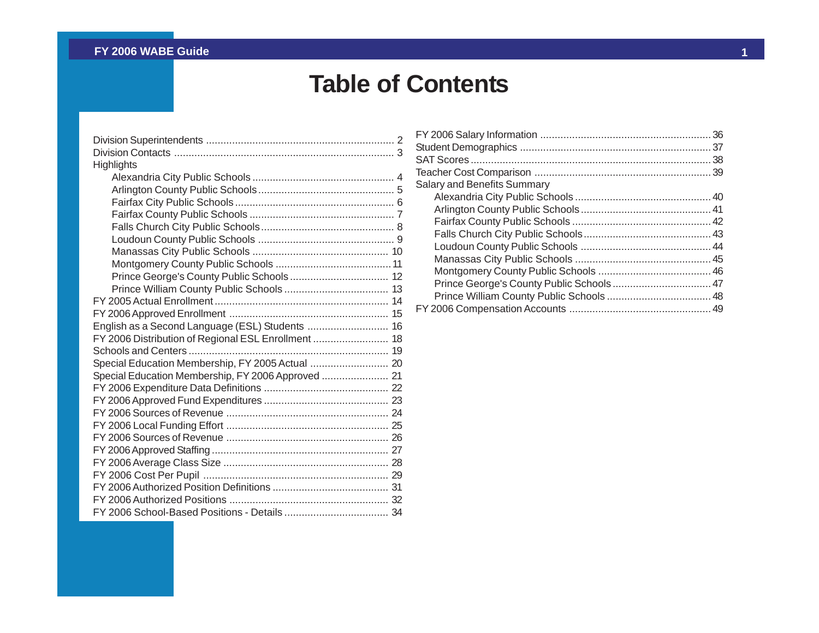## **Table of Contents**

| Highlights                                          |
|-----------------------------------------------------|
|                                                     |
|                                                     |
|                                                     |
|                                                     |
|                                                     |
|                                                     |
|                                                     |
|                                                     |
|                                                     |
|                                                     |
|                                                     |
|                                                     |
| English as a Second Language (ESL) Students  16     |
| FY 2006 Distribution of Regional ESL Enrollment  18 |
|                                                     |
| Special Education Membership, FY 2005 Actual  20    |
| Special Education Membership, FY 2006 Approved  21  |
|                                                     |
|                                                     |
|                                                     |
|                                                     |
|                                                     |
|                                                     |
|                                                     |
|                                                     |
|                                                     |
|                                                     |
|                                                     |

| <b>Salary and Benefits Summary</b> |  |
|------------------------------------|--|
|                                    |  |
|                                    |  |
|                                    |  |
|                                    |  |
|                                    |  |
|                                    |  |
|                                    |  |
|                                    |  |
|                                    |  |
|                                    |  |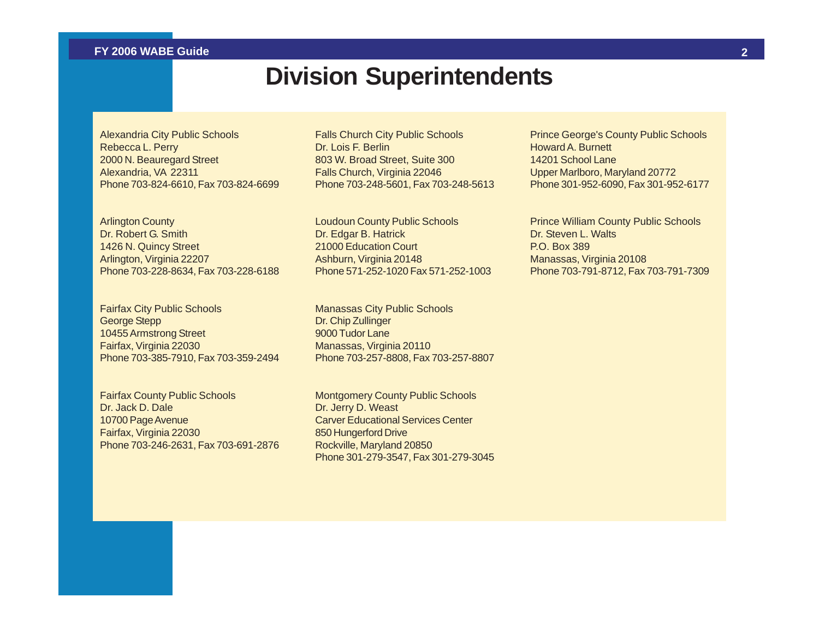### **Division Superintendents**

<span id="page-2-0"></span>Alexandria City Public Schools Rebecca L. Perry 2000 N. Beauregard Street Alexandria, VA 22311 Phone 703-824-6610, Fax 703-824-6699 Falls Church City Public Schools Dr. Lois F. Berlin 803 W. Broad Street, Suite 300 Falls Church, Virginia 22046 Phone 703-248-5601, Fax 703-248-5613

Arlington County Dr. Robert G. Smith 1426 N. Quincy Street Arlington, Virginia 22207 Phone 703-228-8634, Fax 703-228-6188

Fairfax City Public Schools George Stepp 10455 Armstrong Street Fairfax, Virginia 22030 Phone 703-385-7910, Fax 703-359-2494

Fairfax County Public Schools Dr. Jack D. Dale 10700 Page Avenue Fairfax, Virginia 22030 Phone 703-246-2631, Fax 703-691-2876 Loudoun County Public Schools Dr. Edgar B. Hatrick 21000 Education Court Ashburn, Virginia 20148 Phone 571-252-1020 Fax 571-252-1003

Manassas City Public Schools Dr. Chip Zullinger 9000 Tudor Lane Manassas, Virginia 20110 Phone 703-257-8808, Fax 703-257-8807

Montgomery County Public Schools Dr. Jerry D. Weast Carver Educational Services Center 850 Hungerford Drive Rockville, Maryland 20850 Phone 301-279-3547, Fax 301-279-3045 Prince George's County Public Schools Howard A. Burnett 14201 School Lane Upper Marlboro, Maryland 20772 Phone 301-952-6090, Fax 301-952-6177

Prince William County Public Schools Dr. Steven L. Walts P.O. Box 389 Manassas, Virginia 20108 Phone 703-791-8712, Fax 703-791-7309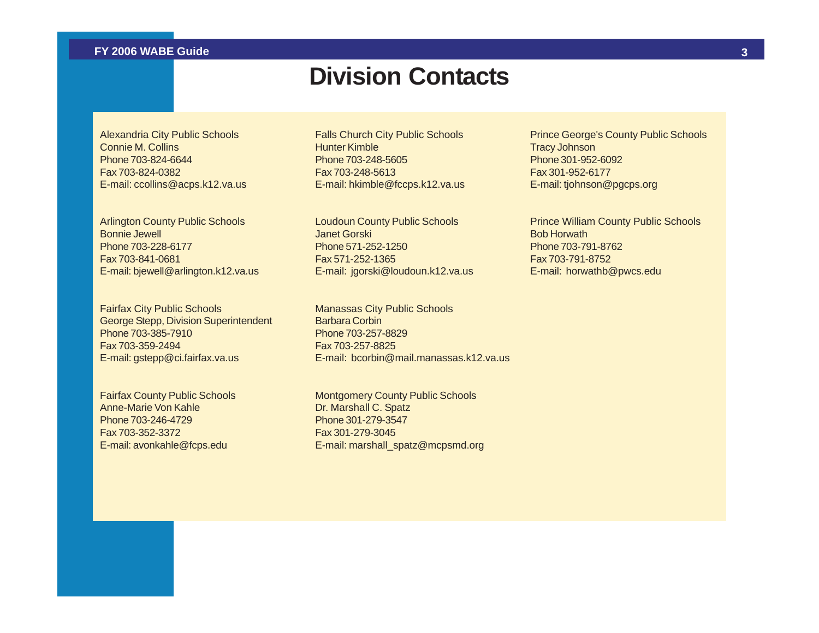### **Division Contacts**

<span id="page-3-0"></span>Alexandria City Public Schools Connie M. Collins Phone 703-824-6644 Fax 703-824-0382 E-mail: ccollins@acps.k12.va.us

Arlington County Public Schools Bonnie Jewell Phone 703-228-6177 Fax 703-841-0681 E-mail: bjewell@arlington.k12.va.us

Fairfax City Public Schools George Stepp, Division Superintendent Phone 703-385-7910 Fax 703-359-2494 E-mail: gstepp@ci.fairfax.va.us

Fairfax County Public Schools Anne-Marie Von Kahle Phone 703-246-4729 Fax 703-352-3372 E-mail: avonkahle@fcps.edu

Falls Church City Public Schools Hunter Kimble Phone 703-248-5605 Fax 703-248-5613 E-mail: hkimble@fccps.k12.va.us

Loudoun County Public Schools Janet Gorski Phone 571-252-1250 Fax 571-252-1365 E-mail: jgorski@loudoun.k12.va.us

Manassas City Public Schools Barbara Corbin Phone 703-257-8829 Fax 703-257-8825 E-mail: bcorbin@mail.manassas.k12.va.us

Montgomery County Public Schools Dr. Marshall C. Spatz Phone 301-279-3547 Fax 301-279-3045 E-mail: marshall\_spatz@mcpsmd.org Prince George's County Public Schools Tracy Johnson Phone 301-952-6092 Fax 301-952-6177 E-mail: tjohnson@pgcps.org

Prince William County Public Schools Bob Horwath Phone 703-791-8762 Fax 703-791-8752 E-mail: horwathb@pwcs.edu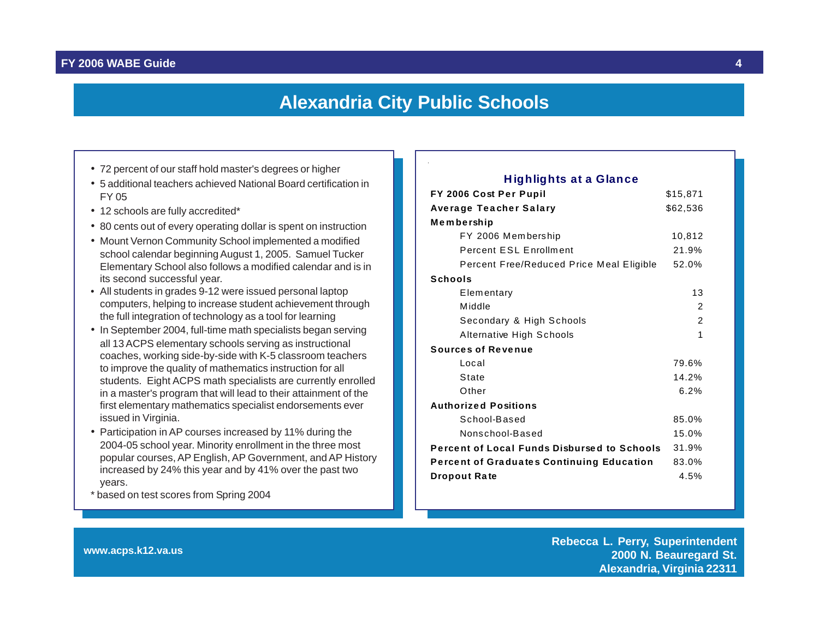#### **Alexandria City Public Schools**

- <span id="page-4-0"></span>• 72 percent of our staff hold master's degrees or higher **Fight of the Contract of the Clance • Highlights at a Glance**
- 5 additional teachers achieved National Board certification in FY 05
- 12 schools are fully accredited\*
- 80 cents out of every operating dollar is spent on instruction
- Mount Vernon Community School implemented a modified school calendar beginning August 1, 2005. Samuel Tucker Elementary School also follows a modified calendar and is in its second successful year.
- All students in grades 9-12 were issued personal laptop computers, helping to increase student achievement through the full integration of technology as a tool for learning
- In September 2004, full-time math specialists began serving all 13 ACPS elementary schools serving as instructional coaches, working side-by-side with K-5 classroom teachers to improve the quality of mathematics instruction for all students. Eight ACPS math specialists are currently enrolled in a master's program that will lead to their attainment of the first elementary mathematics specialist endorsements ever issued in Virginia.
- Participation in AP courses increased by 11% during the 2004-05 school year. Minority enrollment in the three most popular courses, AP English, AP Government, and AP History increased by 24% this year and by 41% over the past two years.
- \* based on test scores from Spring 2004

| FY 2006 Cost Per Pupil                             | \$15,871       |
|----------------------------------------------------|----------------|
| Average Teacher Salary                             | \$62,536       |
| Membership                                         |                |
| FY 2006 Membership                                 | 10,812         |
| <b>Percent ESL Enrollment</b>                      | 21.9%          |
| Percent Free/Reduced Price Meal Eligible           | 52.0%          |
| <b>Schools</b>                                     |                |
| Elementary                                         | 13             |
| Middle                                             | 2              |
| Secondary & High Schools                           | $\overline{2}$ |
| Alternative High Schools                           | 1              |
| <b>Sources of Revenue</b>                          |                |
| Local                                              | 79.6%          |
| State                                              | 14.2%          |
| Other                                              | 6.2%           |
| <b>Authorized Positions</b>                        |                |
| School-Based                                       | 85.0%          |
| Nonschool-Based                                    | 15.0%          |
| <b>Percent of Local Funds Disbursed to Schools</b> | 31.9%          |
| <b>Percent of Graduates Continuing Education</b>   | 83.0%          |
| <b>Dropout Rate</b>                                | 4.5%           |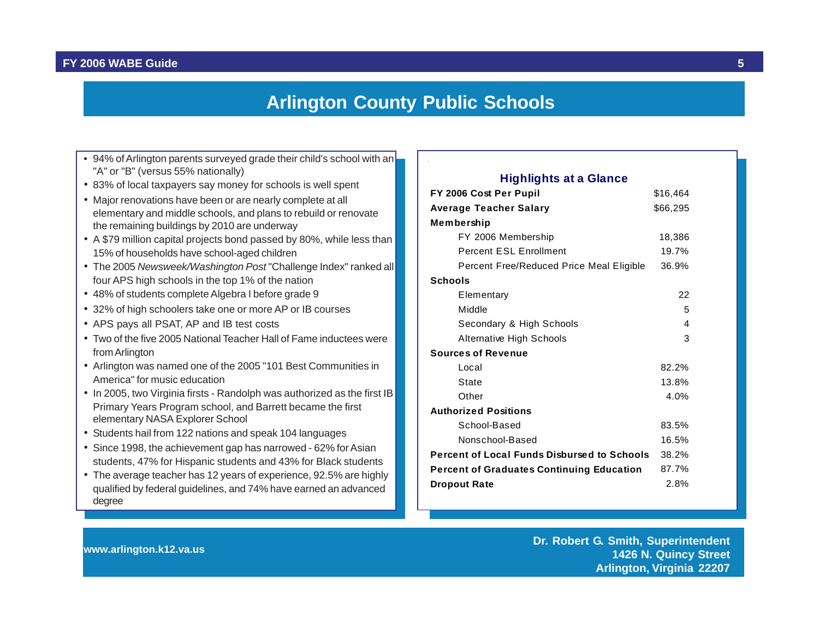#### **Arlington County Public Schools**

- <span id="page-5-0"></span>• 94% of Arlington parents surveyed grade their child's school with an "A" or "B" (versus 55% nationally)
- 83% of local taxpayers say money for schools is well spent
- Major renovations have been or are nearly complete at all elementary and middle schools, and plans to rebuild or renovate the remaining buildings by 2010 are underway
- A \$79 million capital projects bond passed by 80%, while less than 15% of households have school-aged children
- The 2005 *Newsweek/Washington Post* "Challenge Index" ranked all four APS high schools in the top 1% of the nation
- 48% of students complete Algebra I before grade 9
- 32% of high schoolers take one or more AP or IB courses
- APS pays all PSAT, AP and IB test costs
- Two of the five 2005 National Teacher Hall of Fame inductees were from Arlington
- Arlington was named one of the 2005 "101 Best Communities in America" for music education
- In 2005, two Virginia firsts Randolph was authorized as the first IB Primary Years Program school, and Barrett became the first elementary NASA Explorer School
- Students hail from 122 nations and speak 104 languages
- Since 1998, the achievement gap has narrowed 62% for Asian students, 47% for Hispanic students and 43% for Black students
- The average teacher has 12 years of experience, 92.5% are highly qualified by federal guidelines, and 74% have earned an advanced degree

#### **FY 2006 Cost Per Pupil 616.464 Average Teacher Salary 666,295 Membership**  FY 2006 Membership 18,386 Percent ESL Enrollment 19.7% Percent Free/Reduced Price Meal Eligible 36.9% **Schools** Elementary 22 Middle 5 Secondary & High Schools 4 Alternative High Schools 3 **Sources of Revenue** Local 82.2% State 13.8% Other 4.0% **Authorized Positions** School-Based 83.5% Nonschool-Based 16.5% **Percent of Local Funds Disbursed to Schools** 38.2% **Percent of Graduates Continuing Education** 87.7% **Dropout Rate** 2.8% **Highlights at a Glance**

**www.arlington.k12.va.us Dr. Robert G. Smith, Superintendent 1426 N. Quincy Street Arlington, Virginia 22207**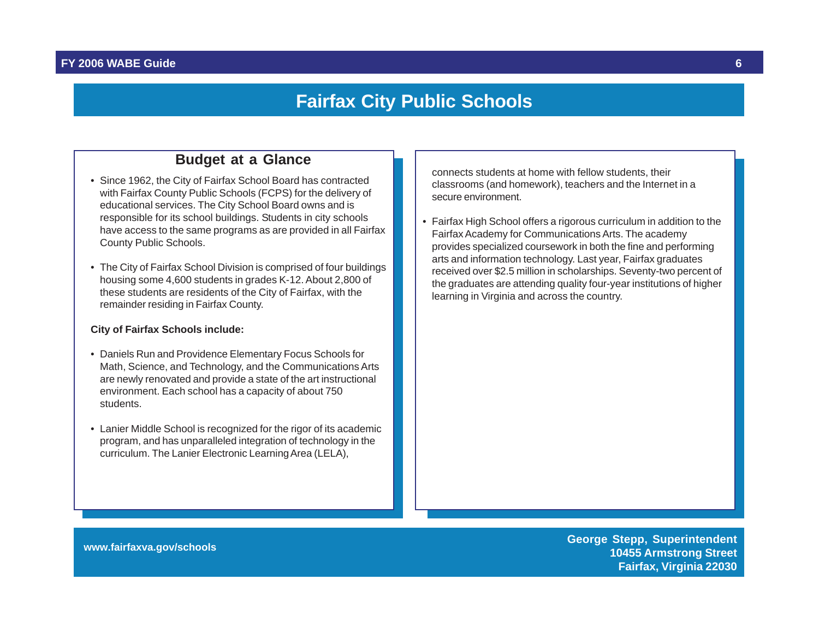### **Fairfax City Public Schools**

#### **Budget at a Glance**

- <span id="page-6-0"></span>• Since 1962, the City of Fairfax School Board has contracted with Fairfax County Public Schools (FCPS) for the delivery of educational services. The City School Board owns and is responsible for its school buildings. Students in city schools have access to the same programs as are provided in all Fairfax County Public Schools.
- The City of Fairfax School Division is comprised of four buildings housing some 4,600 students in grades K-12. About 2,800 of these students are residents of the City of Fairfax, with the remainder residing in Fairfax County.

#### **City of Fairfax Schools include:**

- Daniels Run and Providence Elementary Focus Schools for Math, Science, and Technology, and the Communications Arts are newly renovated and provide a state of the art instructional environment. Each school has a capacity of about 750 students.
- Lanier Middle School is recognized for the rigor of its academic program, and has unparalleled integration of technology in the curriculum. The Lanier Electronic Learning Area (LELA),

connects students at home with fellow students, their classrooms (and homework), teachers and the Internet in a secure environment.

• Fairfax High School offers a rigorous curriculum in addition to the Fairfax Academy for Communications Arts. The academy provides specialized coursework in both the fine and performing arts and information technology. Last year, Fairfax graduates received over \$2.5 million in scholarships. Seventy-two percent of the graduates are attending quality four-year institutions of higher learning in Virginia and across the country.

**www.fairfaxva.gov/schools George Stepp, Superintendent 10455 Armstrong Street Fairfax, Virginia 22030**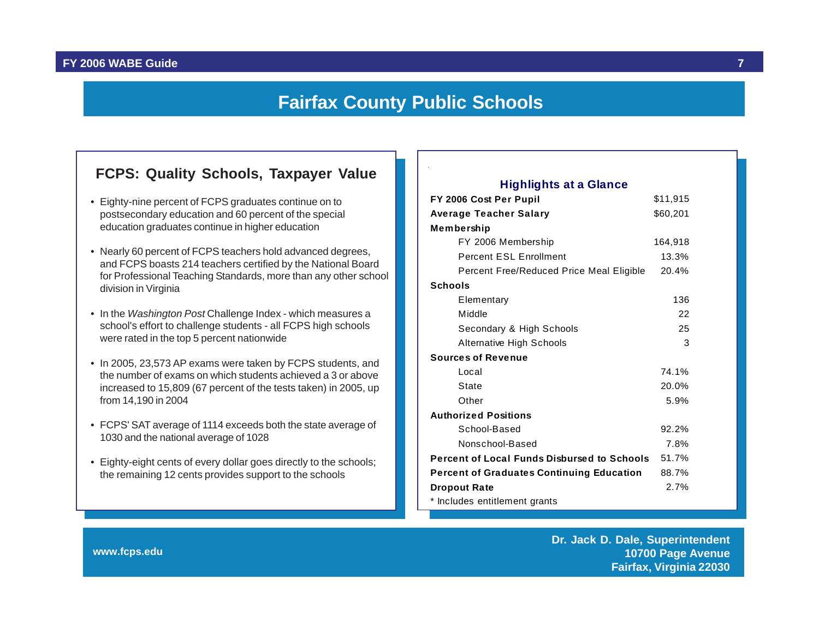### **Fairfax County Public Schools**

### <span id="page-7-0"></span>**FCPS: Quality Schools, Taxpayer Value FCPS: Quality Schools, Taxpayer Value**

- Eighty-nine percent of FCPS graduates continue on to postsecondary education and 60 percent of the special education graduates continue in higher education
- Nearly 60 percent of FCPS teachers hold advanced degrees, and FCPS boasts 214 teachers certified by the National Board for Professional Teaching Standards, more than any other school division in Virginia
- In the *Washington Post* Challenge Index which measures a school's effort to challenge students - all FCPS high schools were rated in the top 5 percent nationwide
- In 2005, 23,573 AP exams were taken by FCPS students, and the number of exams on which students achieved a 3 or above increased to 15,809 (67 percent of the tests taken) in 2005, up from 14,190 in 2004
- FCPS' SAT average of 1114 exceeds both the state average of 1030 and the national average of 1028
- Eighty-eight cents of every dollar goes directly to the schools; the remaining 12 cents provides support to the schools

#### **FY 2006 Cost Per Pupil** \$11,915 **Average Teacher Salary \$60,201 Membership**  FY 2006 Membership 164,918 Percent ESL Enrollment 13.3% Percent Free/Reduced Price Meal Eligible 20.4% **Schools** Elementary 136 Middle 22 Secondary & High Schools 25 Alternative High Schools 3 **Sources of Revenue** Local 74.1% State 20.0% Other 5.9% **Authorized Positions** School-Based 92.2% Nonschool-Based 7.8% **Percent of Local Funds Disbursed to Schools** 51.7% **Percent of Graduates Continuing Education** 88.7% **Dropout Rate** 2.7% \* Includes entitlement grants

**www.fcps.edu**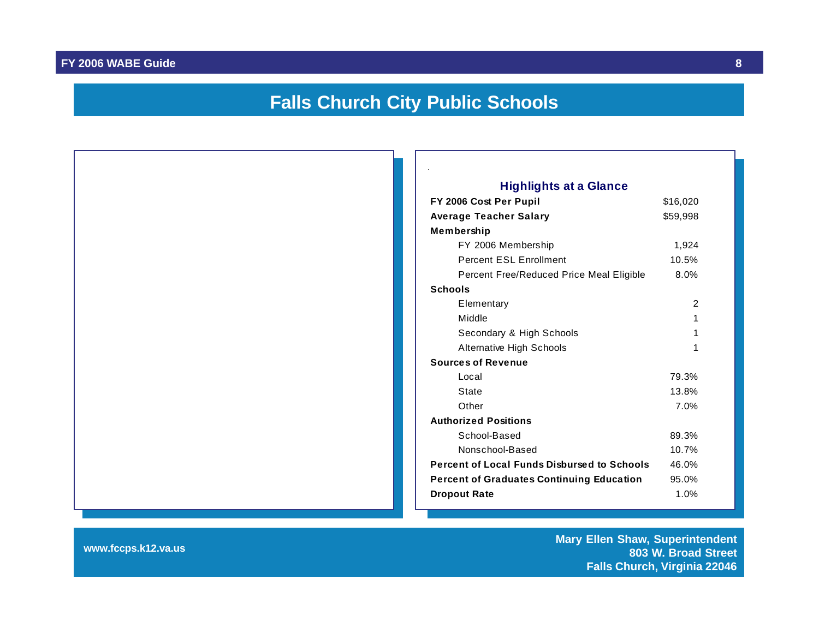### **Falls Church City Public Schools**

<span id="page-8-0"></span>

| <b>Highlights at a Glance</b>                      |          |  |  |  |  |
|----------------------------------------------------|----------|--|--|--|--|
| FY 2006 Cost Per Pupil                             | \$16,020 |  |  |  |  |
| <b>Average Teacher Salary</b>                      | \$59,998 |  |  |  |  |
| Membership                                         |          |  |  |  |  |
| FY 2006 Membership                                 | 1,924    |  |  |  |  |
| Percent ESL Enrollment                             | 10.5%    |  |  |  |  |
| Percent Free/Reduced Price Meal Eligible           | 8.0%     |  |  |  |  |
| <b>Schools</b>                                     |          |  |  |  |  |
| Elementary                                         | 2        |  |  |  |  |
| Middle                                             | 1        |  |  |  |  |
| Secondary & High Schools                           | 1        |  |  |  |  |
| Alternative High Schools                           | 1        |  |  |  |  |
| <b>Sources of Revenue</b>                          |          |  |  |  |  |
| Local                                              | 79.3%    |  |  |  |  |
| State                                              | 13.8%    |  |  |  |  |
| Other                                              | 7.0%     |  |  |  |  |
| <b>Authorized Positions</b>                        |          |  |  |  |  |
| School-Based                                       | 89.3%    |  |  |  |  |
| Nonschool-Based                                    | 10.7%    |  |  |  |  |
| <b>Percent of Local Funds Disbursed to Schools</b> | 46.0%    |  |  |  |  |
| <b>Percent of Graduates Continuing Education</b>   | 95.0%    |  |  |  |  |
| <b>Dropout Rate</b>                                | 1.0%     |  |  |  |  |

**www.fccps.k12.va.us Mary Ellen Shaw, Superintendent 803 W. Broad Street Falls Church, Virginia 22046**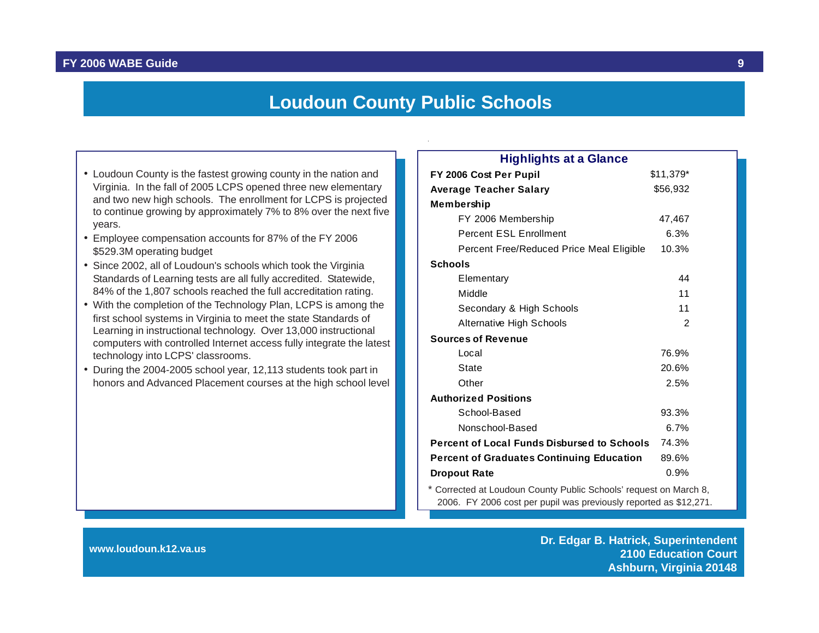#### **Loudoun County Public Schools**

- Loudoun County is the fastest growing county in the nation and Virginia. In the fall of 2005 LCPS opened three new elementary and two new high schools. The enrollment for LCPS is projected to continue growing by approximately 7% to 8% over the next five years.
- Employee compensation accounts for 87% of the FY 2006 \$529.3M operating budget
- Since 2002, all of Loudoun's schools which took the Virginia Standards of Learning tests are all fully accredited. Statewide, 84% of the 1,807 schools reached the full accreditation rating.
- With the completion of the Technology Plan, LCPS is among the first school systems in Virginia to meet the state Standards of Learning in instructional technology. Over 13,000 instructional computers with controlled Internet access fully integrate the latest technology into LCPS' classrooms.
- During the 2004-2005 school year, 12,113 students took part in honors and Advanced Placement courses at the high school level

| <b>Highlights at a Glance</b>                                     |           |  |
|-------------------------------------------------------------------|-----------|--|
| FY 2006 Cost Per Pupil                                            | \$11,379* |  |
| <b>Average Teacher Salary</b>                                     | \$56,932  |  |
| Membership                                                        |           |  |
| FY 2006 Membership                                                | 47,467    |  |
| <b>Percent ESL Enrollment</b>                                     | 6.3%      |  |
| Percent Free/Reduced Price Meal Eligible                          | 10.3%     |  |
| <b>Schools</b>                                                    |           |  |
| Elementary                                                        | 44        |  |
| Middle                                                            | 11        |  |
| Secondary & High Schools                                          | 11        |  |
| <b>Alternative High Schools</b>                                   | 2         |  |
| <b>Sources of Revenue</b>                                         |           |  |
| Local                                                             | 76.9%     |  |
| State                                                             | 20.6%     |  |
| Other                                                             | 2.5%      |  |
| <b>Authorized Positions</b>                                       |           |  |
| School-Based                                                      | 93.3%     |  |
| Nonschool-Based                                                   | 6.7%      |  |
| <b>Percent of Local Funds Disbursed to Schools</b>                | 74.3%     |  |
| <b>Percent of Graduates Continuing Education</b>                  | 89.6%     |  |
| <b>Dropout Rate</b>                                               | 0.9%      |  |
| * Corrected at Loudoun County Public Schools' request on March 8, |           |  |

2006. FY 2006 cost per pupil was previously reported as \$12,271.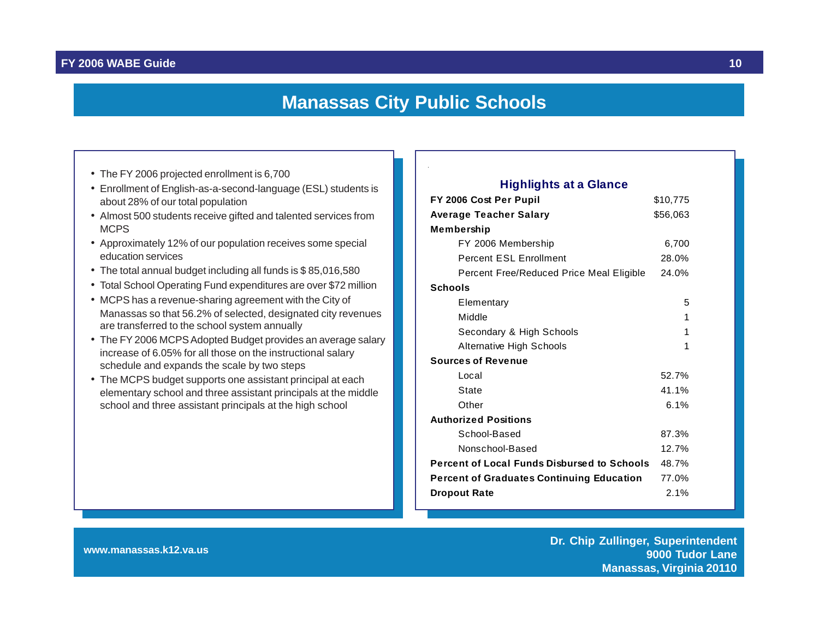#### **Manassas City Public Schools**

- 
- about 28% of our total population
- Almost 500 students receive gifted and talented services from MCPS
- Approximately 12% of our population receives some special education services
- The total annual budget including all funds is \$ 85,016,580
- Total School Operating Fund expenditures are over \$72 million
- MCPS has a revenue-sharing agreement with the City of Manassas so that 56.2% of selected, designated city revenues are transferred to the school system annually
- The FY 2006 MCPS Adopted Budget provides an average salary increase of 6.05% for all those on the instructional salary schedule and expands the scale by two steps
- The MCPS budget supports one assistant principal at each elementary school and three assistant principals at the middle school and three assistant principals at the high school

#### <span id="page-10-0"></span>**FY 2006 Cost Per Pupil** \$10,775 **Average Teacher Salary 656,063 Membership**  FY 2006 Membership 6,700 Percent ESL Enrollment 28.0% Percent Free/Reduced Price Meal Eligible 24.0% **Schools** Elementary 5 Middle 2012 12:00:00 12:00:00 12:00:00 12:00:00 12:00:00 12:00:00 12:00:00 12:00:00 12:00:00 12:00:00 12:00:00 Secondary & High Schools 1 Alternative High Schools 1 **Sources of Revenue** Local 52.7% State 41.1% Other 6.1% **Authorized Positions** School-Based 87.3% Nonschool-Based 12.7% **Percent of Local Funds Disbursed to Schools** 48.7% **Percent of Graduates Continuing Education** 77.0% **Dropout Rate** 2.1% • The FY 2006 projected enrollment is 6,700<br>• Enrollment of English-as-a-second-language (ESL) students is **Particle and August Project and August Project P**

**www.manassas.k12.va.us Dr. Chip Zullinger, Superintendent 9000 Tudor Lane Manassas, Virginia 20110**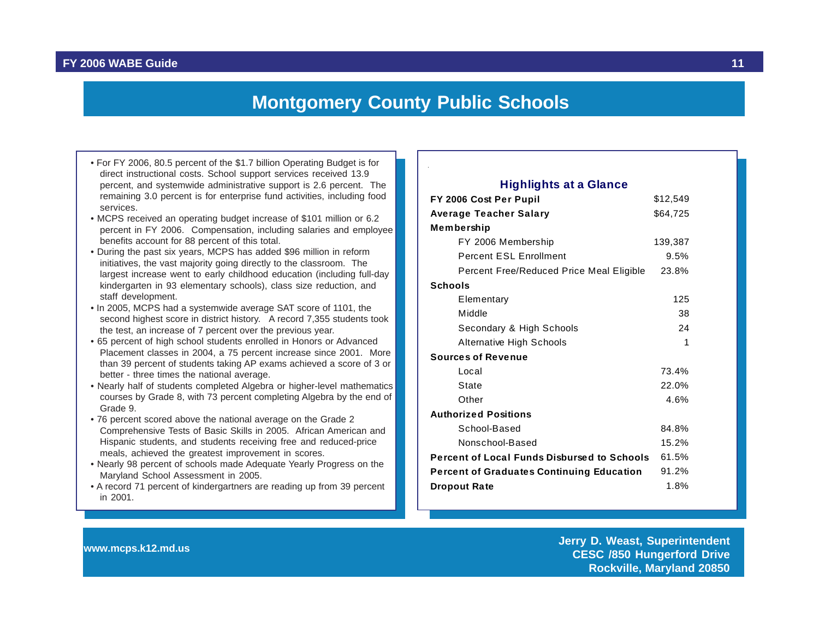### **Montgomery County Public Schools**

- <span id="page-11-0"></span>• For FY 2006, 80.5 percent of the \$1.7 billion Operating Budget is for direct instructional costs. School support services received 13.9 percent, and systemwide administrative support is 2.6 percent. The remaining 3.0 percent is for enterprise fund activities, including food services.
- MCPS received an operating budget increase of \$101 million or 6.2 percent in FY 2006. Compensation, including salaries and employee benefits account for 88 percent of this total.
- During the past six years, MCPS has added \$96 million in reform initiatives, the vast majority going directly to the classroom. The largest increase went to early childhood education (including full-day kindergarten in 93 elementary schools), class size reduction, and staff development.
- In 2005, MCPS had a systemwide average SAT score of 1101, the second highest score in district history. A record 7,355 students took the test, an increase of 7 percent over the previous year.
- 65 percent of high school students enrolled in Honors or Advanced Placement classes in 2004, a 75 percent increase since 2001. More than 39 percent of students taking AP exams achieved a score of 3 or better - three times the national average.
- Nearly half of students completed Algebra or higher-level mathematics courses by Grade 8, with 73 percent completing Algebra by the end of Grade 9.
- 76 percent scored above the national average on the Grade 2 Comprehensive Tests of Basic Skills in 2005. African American and Hispanic students, and students receiving free and reduced-price meals, achieved the greatest improvement in scores.
- Nearly 98 percent of schools made Adequate Yearly Progress on the Maryland School Assessment in 2005.
- A record 71 percent of kindergartners are reading up from 39 percent in 2001.

#### **FY 2006 Cost Per Pupil** \$12,549 **Average Teacher Salary 664,725 Membership**  FY 2006 Membership 139,387 Percent ESL Enrollment 9.5% Percent Free/Reduced Price Meal Eligible 23.8% **Schools** Elementary 125 Middle 38 Secondary & High Schools 24 Alternative High Schools 1 **Sources of Revenue** Local 73.4% State 22.0% Other 4.6% **Authorized Positions** School-Based 84.8% Nonschool-Based 15.2% **Highlights at a Glance**

**Percent of Local Funds Disbursed to Schools** 61.5% **Percent of Graduates Continuing Education** 91.2% **Dropout Rate** 1.8%

**www.mcps.k12.md.us Jerry D. Weast, Superintendent CESC /850 Hungerford Drive Rockville, Maryland 20850**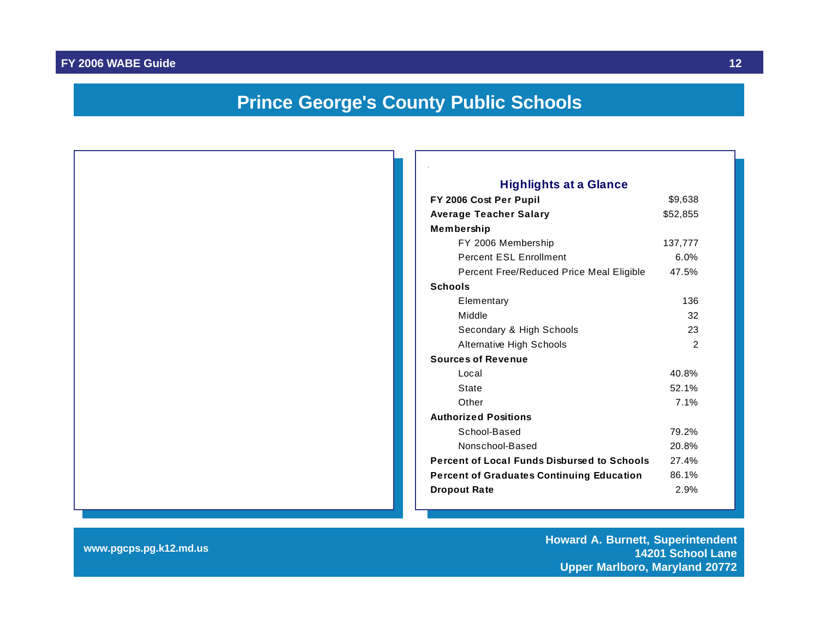### **Prince George's County Public Schools**

<span id="page-12-0"></span>

#### **FY 2006 Cost Per Pupil** \$9,638 Average Teacher Salary **\$52,855** FY 2006 Membership 137,777 Percent ESL Enrollment 6.0% Percent Free/Reduced Price Meal Eligible 47.5% Elementary 136 Middle 32 Secondary & High Schools 23 Alternative High Schools 2 **Sources of Revenue** Local 40.8% State 52.1% Other 7.1% **Authorized Positions** School-Based 79.2% Nonschool-Based 20.8% **Percent of Local Funds Disbursed to Schools** 27.4% **Percent of Graduates Continuing Education** 86.1% **Dropout Rate** 2.9% **Highlights at a Glance**

**www.pgcps.pg.k12.md.us Howard A. Burnett, Superintendent 14201 School Lane Upper Marlboro, Maryland 20772**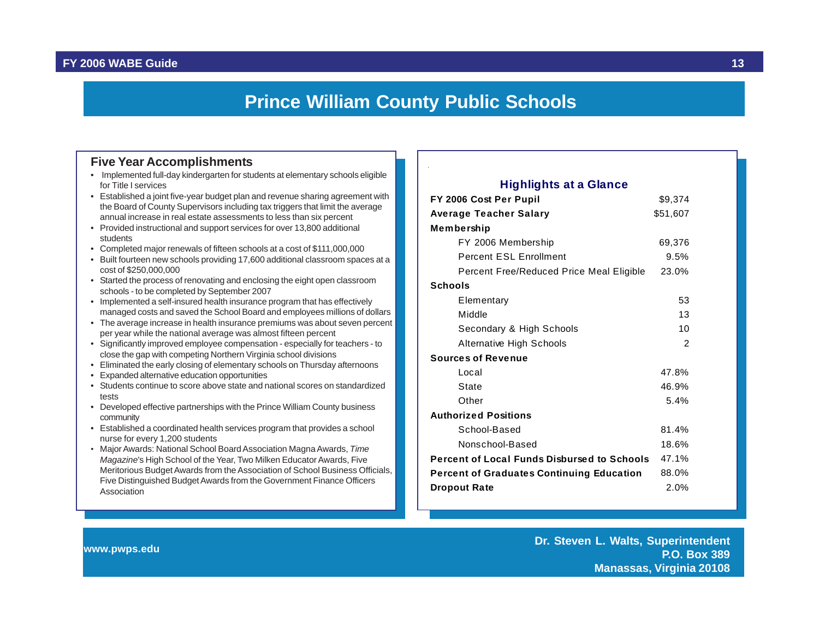### **Prince William County Public Schools**

#### <span id="page-13-0"></span>**Five Year Accomplishments**

- Implemented full-day kindergarten for students at elementary schools eligible for Title I services
- Established a joint five-year budget plan and revenue sharing agreement with the Board of County Supervisors including tax triggers that limit the average annual increase in real estate assessments to less than six percent
- Provided instructional and support services for over 13,800 additional students
- Completed major renewals of fifteen schools at a cost of \$111,000,000
- Built fourteen new schools providing 17,600 additional classroom spaces at a cost of \$250,000,000
- Started the process of renovating and enclosing the eight open classroom schools - to be completed by September 2007
- Implemented a self-insured health insurance program that has effectively managed costs and saved the School Board and employees millions of dollars
- The average increase in health insurance premiums was about seven percent per year while the national average was almost fifteen percent
- Significantly improved employee compensation especially for teachers to close the gap with competing Northern Virginia school divisions
- Eliminated the early closing of elementary schools on Thursday afternoons
- Expanded alternative education opportunities
- Students continue to score above state and national scores on standardized tests
- Developed effective partnerships with the Prince William County business community
- Established a coordinated health services program that provides a school nurse for every 1,200 students
- Major Awards: National School Board Association Magna Awards, *Time Magazine*'s High School of the Year, Two Milken Educator Awards, Five Meritorious Budget Awards from the Association of School Business Officials, Five Distinguished Budget Awards from the Government Finance Officers Association

#### **FY 2006 Cost Per Pupil** \$9,374 **Average Teacher Salary 651,607 Membership**  FY 2006 Membership 69,376 Percent ESL Enrollment 9.5% Percent Free/Reduced Price Meal Eligible 23.0% **Schools** Elementary 53 Middle 13 Secondary & High Schools 10 Alternative High Schools 2 **Sources of Revenue** Local 47.8% State 46.9% Other 5.4% **Authorized Positions** School-Based 81.4% Nonschool-Based 18.6% **Percent of Local Funds Disbursed to Schools** 47.1% **Percent of Graduates Continuing Education** 88.0% **Dropout Rate** 2.0% **Highlights at a Glance**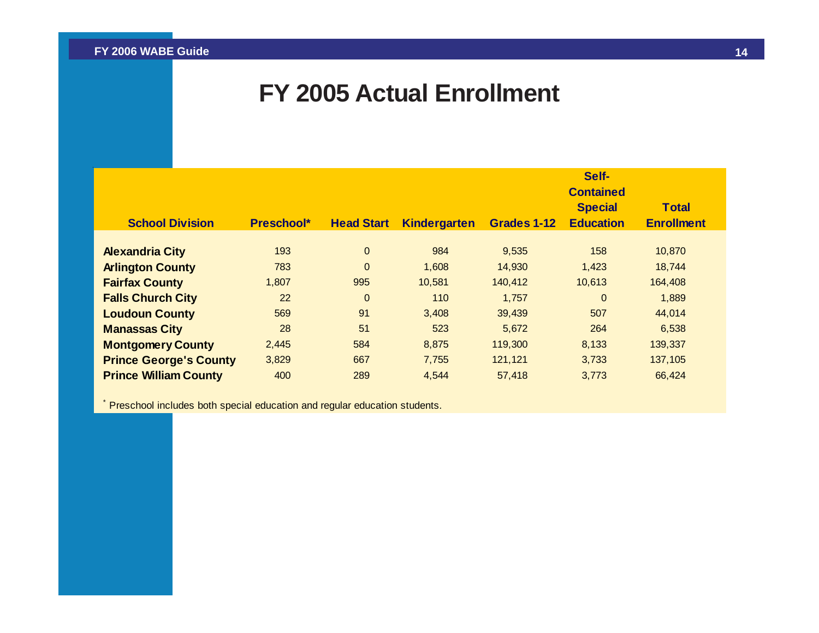### **FY 2005 Actual Enrollment**

<span id="page-14-0"></span>

|                               |                   |                   |                     |             | Self-<br><b>Contained</b>          |                                   |
|-------------------------------|-------------------|-------------------|---------------------|-------------|------------------------------------|-----------------------------------|
| <b>School Division</b>        | <b>Preschool*</b> | <b>Head Start</b> | <b>Kindergarten</b> | Grades 1-12 | <b>Special</b><br><b>Education</b> | <b>Total</b><br><b>Enrollment</b> |
| <b>Alexandria City</b>        | 193               | $\mathbf{0}$      | 984                 | 9,535       | 158                                | 10,870                            |
| <b>Arlington County</b>       | 783               | $\mathbf{0}$      | 1,608               | 14,930      | 1,423                              | 18,744                            |
| <b>Fairfax County</b>         | 1,807             | 995               | 10,581              | 140,412     | 10,613                             | 164,408                           |
| <b>Falls Church City</b>      | 22                | $\mathbf{0}$      | 110                 | 1,757       | $\mathbf{0}$                       | 1,889                             |
| <b>Loudoun County</b>         | 569               | 91                | 3,408               | 39,439      | 507                                | 44,014                            |
| <b>Manassas City</b>          | 28                | 51                | 523                 | 5,672       | 264                                | 6,538                             |
| <b>Montgomery County</b>      | 2,445             | 584               | 8,875               | 119,300     | 8,133                              | 139,337                           |
| <b>Prince George's County</b> | 3,829             | 667               | 7,755               | 121,121     | 3,733                              | 137,105                           |
| <b>Prince William County</b>  | 400               | 289               | 4,544               | 57,418      | 3,773                              | 66,424                            |

\* Preschool includes both special education and regular education students.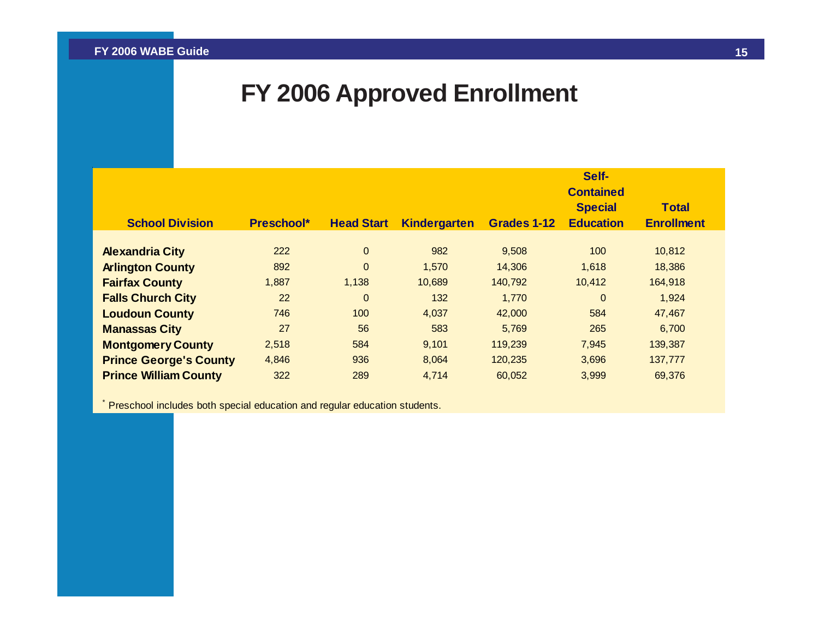## **FY 2006 Approved Enrollment**

<span id="page-15-0"></span>

|                               |            |                   |                     |             | Self-<br><b>Contained</b>          |                                   |
|-------------------------------|------------|-------------------|---------------------|-------------|------------------------------------|-----------------------------------|
| <b>School Division</b>        | Preschool* | <b>Head Start</b> | <b>Kindergarten</b> | Grades 1-12 | <b>Special</b><br><b>Education</b> | <b>Total</b><br><b>Enrollment</b> |
|                               |            |                   |                     |             |                                    |                                   |
| <b>Alexandria City</b>        | 222        | $\mathbf{0}$      | 982                 | 9,508       | 100                                | 10,812                            |
| <b>Arlington County</b>       | 892        | $\mathbf{0}$      | 1,570               | 14,306      | 1,618                              | 18,386                            |
| <b>Fairfax County</b>         | 1,887      | 1,138             | 10,689              | 140,792     | 10,412                             | 164,918                           |
| <b>Falls Church City</b>      | 22         | $\Omega$          | 132                 | 1,770       | $\mathbf 0$                        | 1,924                             |
| <b>Loudoun County</b>         | 746        | 100               | 4,037               | 42,000      | 584                                | 47,467                            |
| <b>Manassas City</b>          | 27         | 56                | 583                 | 5,769       | 265                                | 6,700                             |
| <b>Montgomery County</b>      | 2,518      | 584               | 9,101               | 119,239     | 7,945                              | 139,387                           |
| <b>Prince George's County</b> | 4,846      | 936               | 8,064               | 120,235     | 3,696                              | 137,777                           |
| <b>Prince William County</b>  | 322        | 289               | 4,714               | 60,052      | 3,999                              | 69,376                            |

\* Preschool includes both special education and regular education students.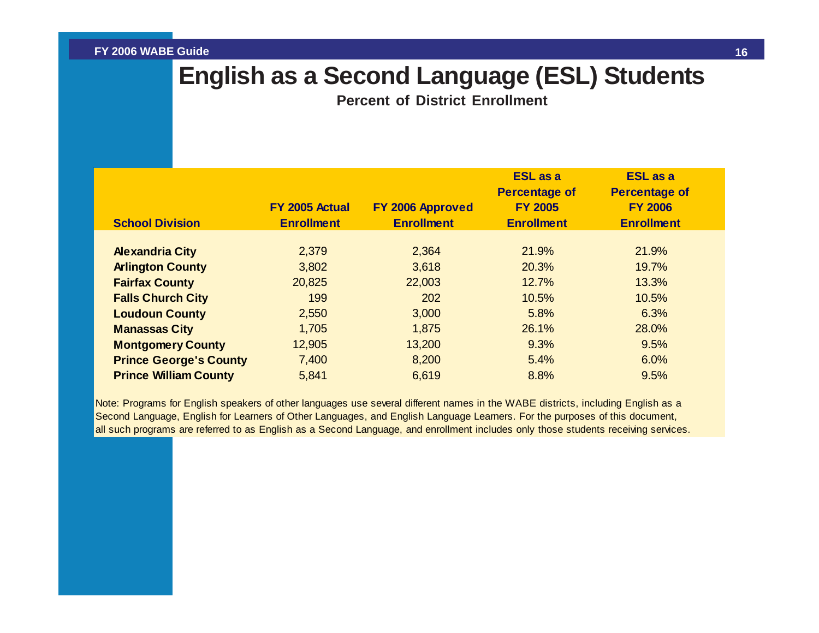### <span id="page-16-0"></span>**English as a Second Language (ESL) Students**

**Percent of District Enrollment**

|                               |                                     |                                       | <b>ESL</b> as a<br><b>Percentage of</b> | <b>ESL</b> as a<br><b>Percentage of</b> |  |
|-------------------------------|-------------------------------------|---------------------------------------|-----------------------------------------|-----------------------------------------|--|
| <b>School Division</b>        | FY 2005 Actual<br><b>Enrollment</b> | FY 2006 Approved<br><b>Enrollment</b> | <b>FY 2005</b><br><b>Enrollment</b>     | <b>FY 2006</b><br><b>Enrollment</b>     |  |
|                               |                                     |                                       |                                         |                                         |  |
| <b>Alexandria City</b>        | 2,379                               | 2,364                                 | 21.9%                                   | 21.9%                                   |  |
| <b>Arlington County</b>       | 3,802                               | 3,618                                 | 20.3%                                   | 19.7%                                   |  |
| <b>Fairfax County</b>         | 20,825                              | 22,003                                | 12.7%                                   | 13.3%                                   |  |
| <b>Falls Church City</b>      | 199                                 | 202                                   | 10.5%                                   | 10.5%                                   |  |
| <b>Loudoun County</b>         | 2,550                               | 3,000                                 | 5.8%                                    | 6.3%                                    |  |
| <b>Manassas City</b>          | 1,705                               | 1,875                                 | 26.1%                                   | 28.0%                                   |  |
| <b>Montgomery County</b>      | 12,905                              | 13,200                                | 9.3%                                    | 9.5%                                    |  |
| <b>Prince George's County</b> | 7,400                               | 8,200                                 | 5.4%                                    | 6.0%                                    |  |
| <b>Prince William County</b>  | 5,841                               | 6,619                                 | 8.8%                                    | 9.5%                                    |  |

Note: Programs for English speakers of other languages use several different names in the WABE districts, including English as a Second Language, English for Learners of Other Languages, and English Language Learners. For the purposes of this document, all such programs are referred to as English as a Second Language, and enrollment includes only those students receiving services.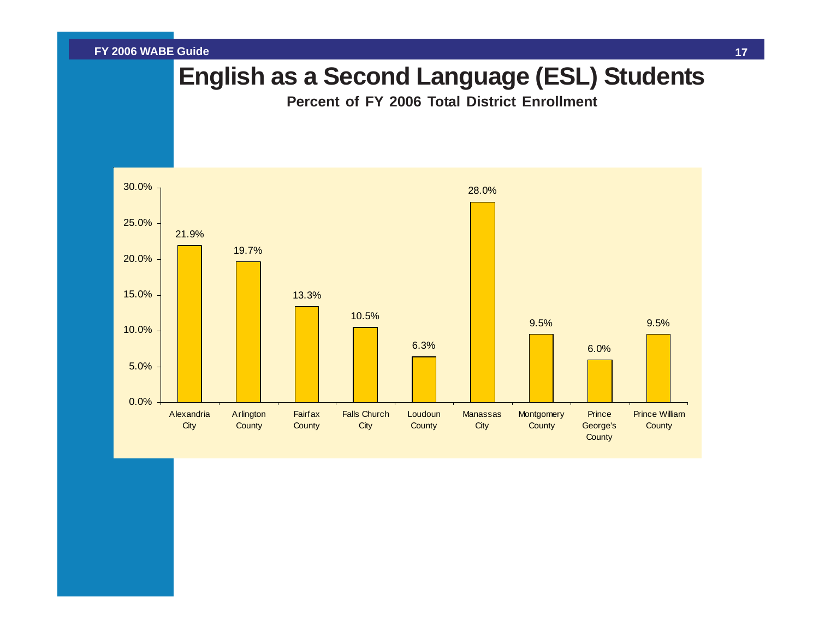### **English as a Second Language (ESL) Students**

**Percent of FY 2006 Total District Enrollment**

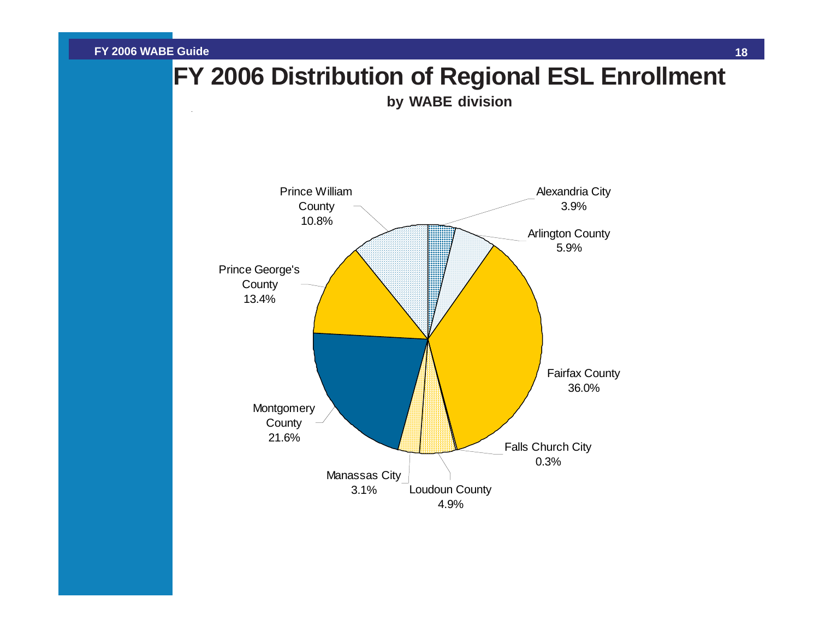<span id="page-18-0"></span>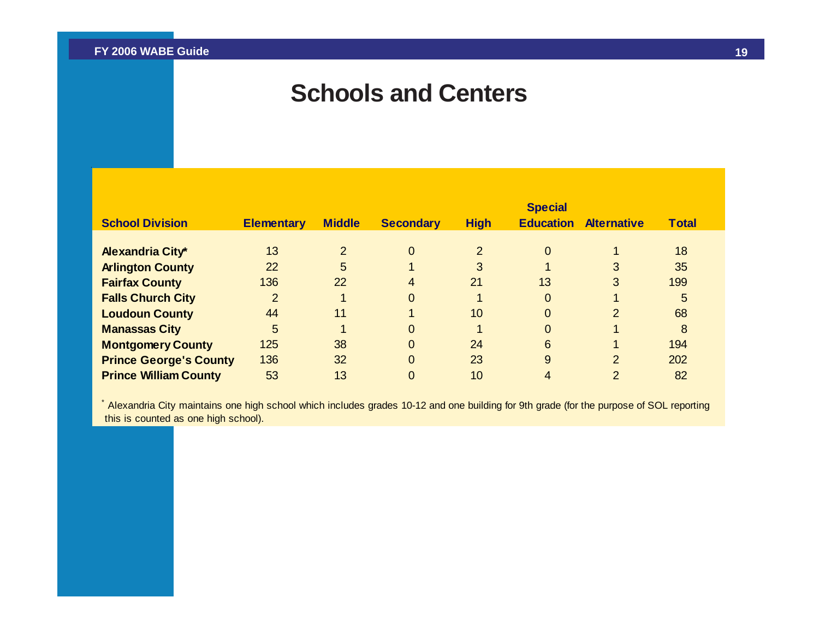### **Schools and Centers**

<span id="page-19-0"></span>

| <b>School Division</b>                             | <b>Elementary</b> | <b>Middle</b> | <b>Secondary</b> | <b>High</b>   | <b>Special</b><br><b>Education</b> | <b>Alternative</b> | <b>Total</b> |
|----------------------------------------------------|-------------------|---------------|------------------|---------------|------------------------------------|--------------------|--------------|
|                                                    | 13                | 2             | $\Omega$         | $\mathcal{P}$ | $\overline{0}$                     |                    | 18           |
| <b>Alexandria City*</b><br><b>Arlington County</b> | 22                | 5             |                  | 3             |                                    | 3                  | 35           |
| <b>Fairfax County</b>                              | 136               | 22            | 4                | 21            | 13                                 | 3                  | 199          |
| <b>Falls Church City</b>                           | $\overline{2}$    |               | $\Omega$         |               | $\overline{0}$                     | 1                  | 5            |
| <b>Loudoun County</b>                              | 44                | 11            |                  | 10            | $\overline{0}$                     | $\overline{2}$     | 68           |
| <b>Manassas City</b>                               | 5                 |               | 0                |               | $\Omega$                           | 1                  | 8            |
| <b>Montgomery County</b>                           | 125               | 38            | $\Omega$         | 24            | 6                                  | 1                  | 194          |
| <b>Prince George's County</b>                      | 136               | 32            | $\Omega$         | 23            | 9                                  | $\overline{2}$     | 202          |
| <b>Prince William County</b>                       | 53                | 13            | 0                | 10            | 4                                  | $\overline{2}$     | 82           |

\* Alexandria City maintains one high school which includes grades 10-12 and one building for 9th grade (for the purpose of SOL reporting this is counted as one high school).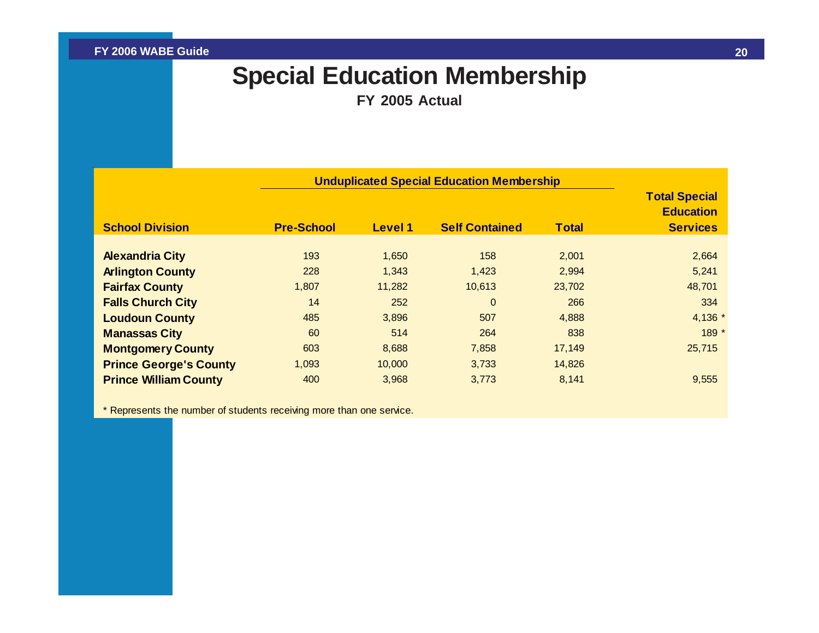## **Special Education Membership**

**FY 2005 Actual**

<span id="page-20-0"></span>

|                               | <b>Unduplicated Special Education Membership</b> |                |                       |              |                                                             |
|-------------------------------|--------------------------------------------------|----------------|-----------------------|--------------|-------------------------------------------------------------|
| <b>School Division</b>        | <b>Pre-School</b>                                | <b>Level 1</b> | <b>Self Contained</b> | <b>Total</b> | <b>Total Special</b><br><b>Education</b><br><b>Services</b> |
|                               |                                                  |                |                       |              |                                                             |
| <b>Alexandria City</b>        | 193                                              | 1,650          | 158                   | 2,001        | 2,664                                                       |
| <b>Arlington County</b>       | 228                                              | 1,343          | 1,423                 | 2,994        | 5,241                                                       |
| <b>Fairfax County</b>         | 1,807                                            | 11,282         | 10,613                | 23,702       | 48,701                                                      |
| <b>Falls Church City</b>      | 14                                               | 252            | $\Omega$              | 266          | 334                                                         |
| <b>Loudoun County</b>         | 485                                              | 3,896          | 507                   | 4,888        | 4,136 *                                                     |
| <b>Manassas City</b>          | 60                                               | 514            | 264                   | 838          | 189 *                                                       |
| <b>Montgomery County</b>      | 603                                              | 8,688          | 7,858                 | 17,149       | 25,715                                                      |
| <b>Prince George's County</b> | 1,093                                            | 10,000         | 3,733                 | 14,826       |                                                             |
| <b>Prince William County</b>  | 400                                              | 3,968          | 3,773                 | 8,141        | 9,555                                                       |

\* Represents the number of students receiving more than one service.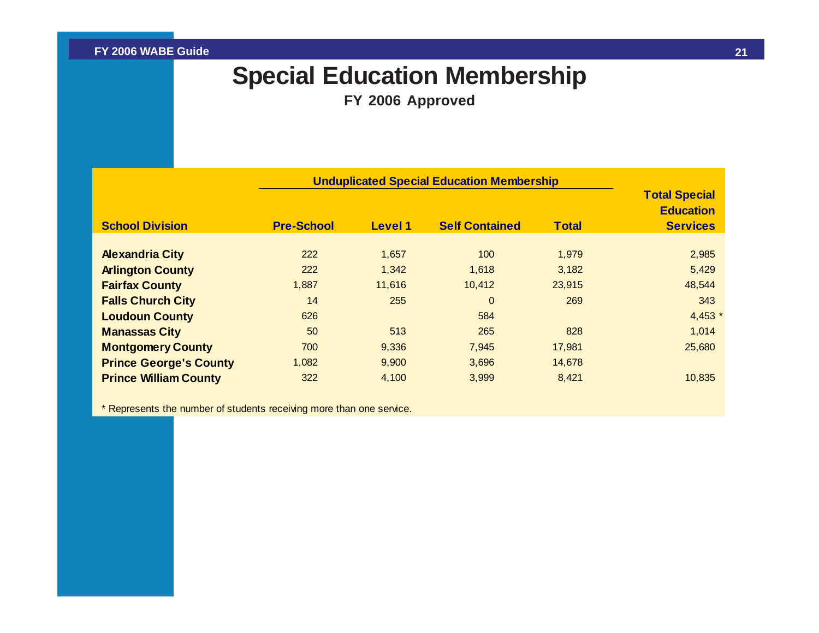## **Special Education Membership**

**FY 2006 Approved**

<span id="page-21-0"></span>

|                               | <b>Unduplicated Special Education Membership</b> |         |                       |        |                                                             |
|-------------------------------|--------------------------------------------------|---------|-----------------------|--------|-------------------------------------------------------------|
| <b>School Division</b>        | <b>Pre-School</b>                                | Level 1 | <b>Self Contained</b> | Total  | <b>Total Special</b><br><b>Education</b><br><b>Services</b> |
|                               |                                                  |         |                       |        |                                                             |
| <b>Alexandria City</b>        | 222                                              | 1,657   | 100                   | 1,979  | 2,985                                                       |
| <b>Arlington County</b>       | 222                                              | 1,342   | 1,618                 | 3,182  | 5,429                                                       |
| <b>Fairfax County</b>         | 1,887                                            | 11,616  | 10,412                | 23,915 | 48,544                                                      |
| <b>Falls Church City</b>      | 14                                               | 255     | $\Omega$              | 269    | 343                                                         |
| <b>Loudoun County</b>         | 626                                              |         | 584                   |        | $4,453$ *                                                   |
| <b>Manassas City</b>          | 50                                               | 513     | 265                   | 828    | 1,014                                                       |
| <b>Montgomery County</b>      | 700                                              | 9,336   | 7,945                 | 17,981 | 25,680                                                      |
| <b>Prince George's County</b> | 1,082                                            | 9,900   | 3,696                 | 14,678 |                                                             |
| <b>Prince William County</b>  | 322                                              | 4,100   | 3,999                 | 8,421  | 10,835                                                      |
|                               |                                                  |         |                       |        |                                                             |

\* Represents the number of students receiving more than one service.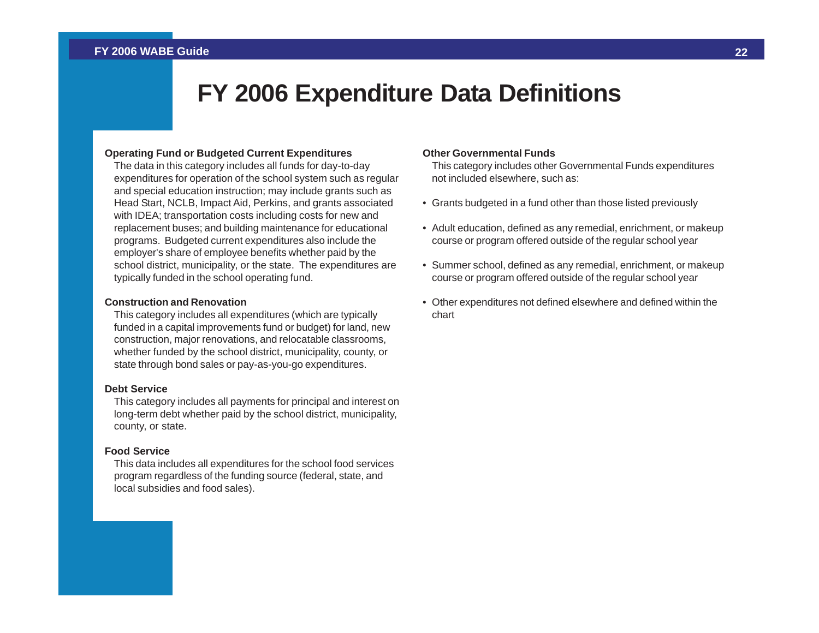### **FY 2006 Expenditure Data Definitions**

#### <span id="page-22-0"></span>**Operating Fund or Budgeted Current Expenditures**

The data in this category includes all funds for day-to-day expenditures for operation of the school system such as regular and special education instruction; may include grants such as Head Start, NCLB, Impact Aid, Perkins, and grants associated with IDEA; transportation costs including costs for new and replacement buses; and building maintenance for educational programs. Budgeted current expenditures also include the employer's share of employee benefits whether paid by the school district, municipality, or the state. The expenditures are typically funded in the school operating fund.

#### **Construction and Renovation**

This category includes all expenditures (which are typically funded in a capital improvements fund or budget) for land, new construction, major renovations, and relocatable classrooms, whether funded by the school district, municipality, county, or state through bond sales or pay-as-you-go expenditures.

#### **Debt Service**

This category includes all payments for principal and interest on long-term debt whether paid by the school district, municipality, county, or state.

#### **Food Service**

This data includes all expenditures for the school food services program regardless of the funding source (federal, state, and local subsidies and food sales).

#### **Other Governmental Funds**

This category includes other Governmental Funds expenditures not included elsewhere, such as:

- Grants budgeted in a fund other than those listed previously
- Adult education, defined as any remedial, enrichment, or makeup course or program offered outside of the regular school year
- Summer school, defined as any remedial, enrichment, or makeup course or program offered outside of the regular school year
- Other expenditures not defined elsewhere and defined within the chart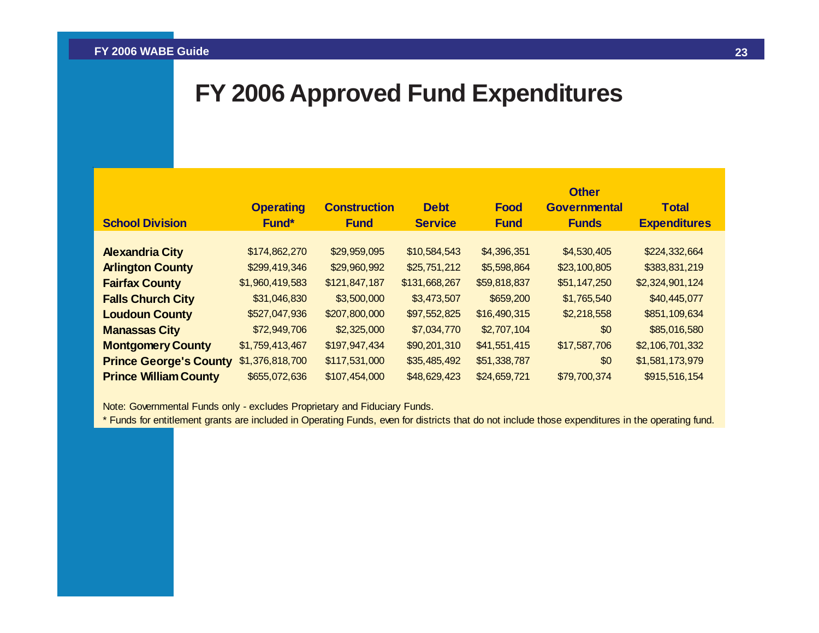### <span id="page-23-0"></span>**FY 2006 Approved Fund Expenditures**

|                               |                  |                     |                |              | <b>Other</b>        |                     |
|-------------------------------|------------------|---------------------|----------------|--------------|---------------------|---------------------|
|                               | <b>Operating</b> | <b>Construction</b> | <b>Debt</b>    | <b>Food</b>  | <b>Governmental</b> | <b>Total</b>        |
| <b>School Division</b>        | Fund*            | <b>Fund</b>         | <b>Service</b> | <b>Fund</b>  | <b>Funds</b>        | <b>Expenditures</b> |
|                               |                  |                     |                |              |                     |                     |
| <b>Alexandria City</b>        | \$174,862,270    | \$29,959,095        | \$10,584,543   | \$4,396,351  | \$4,530,405         | \$224,332,664       |
| <b>Arlington County</b>       | \$299,419,346    | \$29,960,992        | \$25,751,212   | \$5,598,864  | \$23,100,805        | \$383,831,219       |
| <b>Fairfax County</b>         | \$1,960,419,583  | \$121,847,187       | \$131,668,267  | \$59,818,837 | \$51,147,250        | \$2,324,901,124     |
| <b>Falls Church City</b>      | \$31,046,830     | \$3,500,000         | \$3,473,507    | \$659,200    | \$1,765,540         | \$40,445,077        |
| <b>Loudoun County</b>         | \$527,047,936    | \$207,800,000       | \$97,552,825   | \$16,490,315 | \$2,218,558         | \$851,109,634       |
| <b>Manassas City</b>          | \$72,949,706     | \$2,325,000         | \$7,034,770    | \$2,707,104  | \$0                 | \$85,016,580        |
| <b>Montgomery County</b>      | \$1,759,413,467  | \$197,947,434       | \$90,201,310   | \$41,551,415 | \$17,587,706        | \$2,106,701,332     |
| <b>Prince George's County</b> | \$1,376,818,700  | \$117,531,000       | \$35,485,492   | \$51,338,787 | \$0                 | \$1,581,173,979     |
| <b>Prince William County</b>  | \$655,072,636    | \$107,454,000       | \$48,629,423   | \$24,659,721 | \$79,700,374        | \$915,516,154       |

Note: Governmental Funds only - excludes Proprietary and Fiduciary Funds.

\* Funds for entitlement grants are included in Operating Funds, even for districts that do not include those expenditures in the operating fund.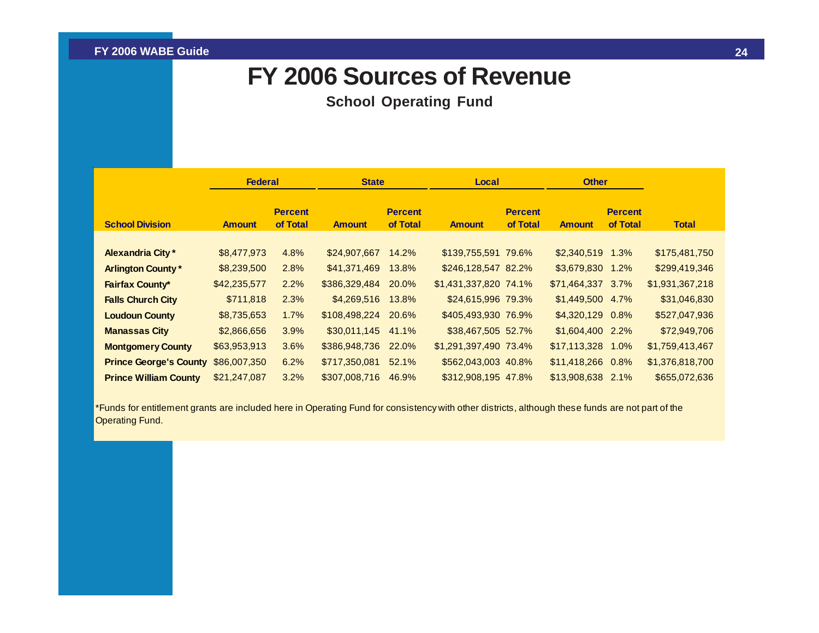### **FY 2006 Sources of Revenue**

**School Operating Fund**

<span id="page-24-0"></span>

|                               | <b>Federal</b> |                            | <b>State</b>  |                            | Local                 |                            | <b>Other</b>       |                            |                 |
|-------------------------------|----------------|----------------------------|---------------|----------------------------|-----------------------|----------------------------|--------------------|----------------------------|-----------------|
| <b>School Division</b>        | <b>Amount</b>  | <b>Percent</b><br>of Total | <b>Amount</b> | <b>Percent</b><br>of Total | <b>Amount</b>         | <b>Percent</b><br>of Total | <b>Amount</b>      | <b>Percent</b><br>of Total | Total           |
|                               |                |                            |               |                            |                       |                            |                    |                            |                 |
| <b>Alexandria City*</b>       | \$8,477,973    | 4.8%                       | \$24,907,667  | 14.2%                      | \$139,755,591 79.6%   |                            | $$2,340,519$ 1.3%  |                            | \$175,481,750   |
| <b>Arlington County*</b>      | \$8,239,500    | 2.8%                       | \$41,371,469  | 13.8%                      | \$246,128,547 82.2%   |                            | \$3,679,830 1.2%   |                            | \$299,419,346   |
| <b>Fairfax County*</b>        | \$42,235,577   | 2.2%                       | \$386,329,484 | 20.0%                      | \$1,431,337,820 74.1% |                            | $$71,464,337$ 3.7% |                            | \$1,931,367,218 |
| <b>Falls Church City</b>      | \$711,818      | 2.3%                       | \$4,269,516   | 13.8%                      | \$24,615,996 79.3%    |                            | \$1,449,500 4.7%   |                            | \$31,046,830    |
| <b>Loudoun County</b>         | \$8,735,653    | 1.7%                       | \$108,498,224 | 20.6%                      | \$405,493,930 76.9%   |                            | \$4,320,129 0.8%   |                            | \$527,047,936   |
| <b>Manassas City</b>          | \$2,866,656    | 3.9%                       | \$30,011,145  | 41.1%                      | \$38,467,505 52.7%    |                            | \$1,604,400 2.2%   |                            | \$72,949,706    |
| <b>Montgomery County</b>      | \$63,953,913   | 3.6%                       | \$386,948,736 | 22.0%                      | \$1,291,397,490 73.4% |                            | \$17,113,328 1.0%  |                            | \$1,759,413,467 |
| <b>Prince George's County</b> | \$86,007,350   | 6.2%                       | \$717,350,081 | 52.1%                      | \$562,043,003 40.8%   |                            | \$11,418,266 0.8%  |                            | \$1,376,818,700 |
| <b>Prince William County</b>  | \$21,247,087   | 3.2%                       | \$307,008,716 | 46.9%                      | \$312,908,195 47.8%   |                            | \$13,908,638 2.1%  |                            | \$655,072,636   |

\*Funds for entitlement grants are included here in Operating Fund for consistency with other districts, although these funds are not part of the Operating Fund.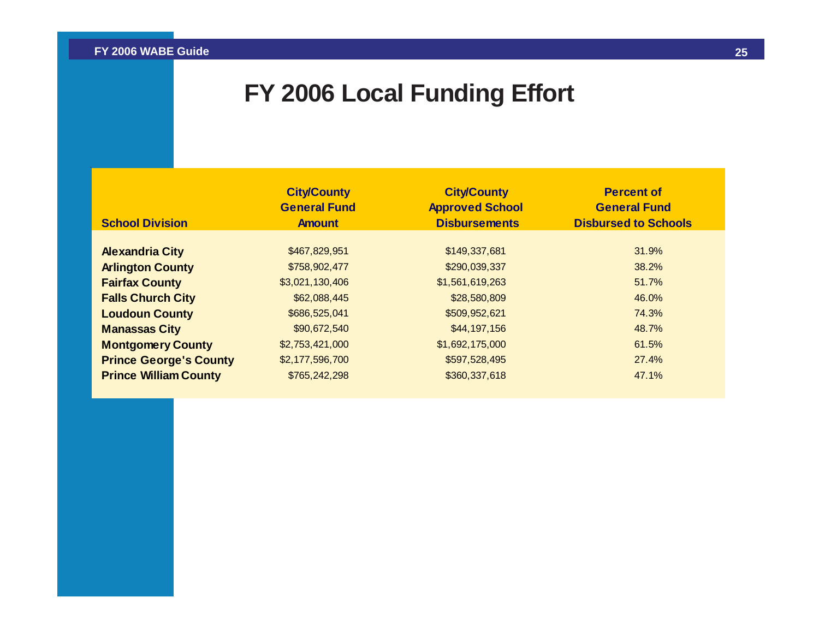## **FY 2006 Local Funding Effort**

<span id="page-25-0"></span>

| <b>School Division</b>        | <b>City/County</b><br><b>General Fund</b><br><b>Amount</b> | <b>City/County</b><br><b>Approved School</b><br><b>Disbursements</b> | <b>Percent of</b><br><b>General Fund</b><br><b>Disbursed to Schools</b> |
|-------------------------------|------------------------------------------------------------|----------------------------------------------------------------------|-------------------------------------------------------------------------|
|                               |                                                            |                                                                      |                                                                         |
| <b>Alexandria City</b>        | \$467,829,951                                              | \$149,337,681                                                        | 31.9%                                                                   |
| <b>Arlington County</b>       | \$758,902,477                                              | \$290,039,337                                                        | 38.2%                                                                   |
| <b>Fairfax County</b>         | \$3,021,130,406                                            | \$1,561,619,263                                                      | 51.7%                                                                   |
| <b>Falls Church City</b>      | \$62,088,445                                               | \$28,580,809                                                         | 46.0%                                                                   |
| <b>Loudoun County</b>         | \$686,525,041                                              | \$509,952,621                                                        | 74.3%                                                                   |
| <b>Manassas City</b>          | \$90,672,540                                               | \$44,197,156                                                         | 48.7%                                                                   |
| <b>Montgomery County</b>      | \$2,753,421,000                                            | \$1,692,175,000                                                      | 61.5%                                                                   |
| <b>Prince George's County</b> | \$2,177,596,700                                            | \$597,528,495                                                        | 27.4%                                                                   |
| <b>Prince William County</b>  | \$765,242,298                                              | \$360,337,618                                                        | 47.1%                                                                   |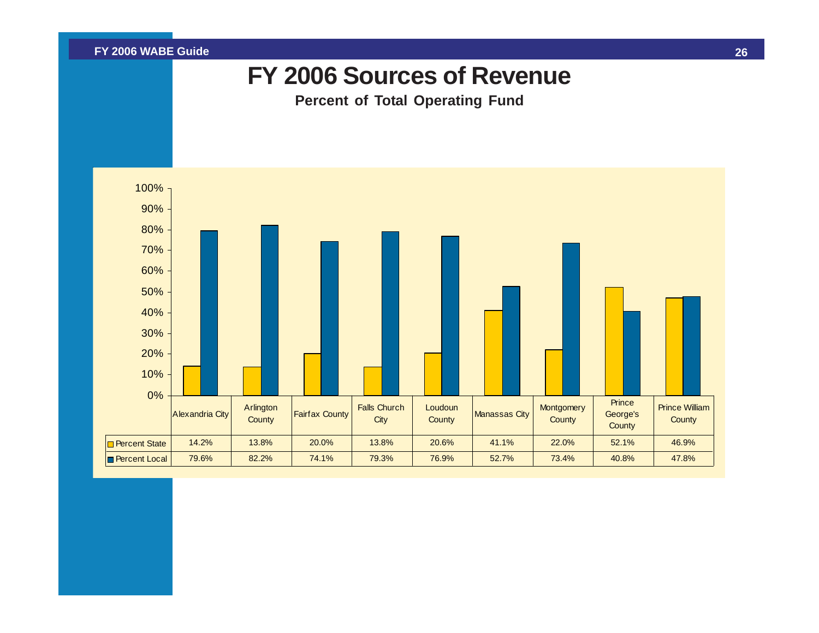<span id="page-26-0"></span>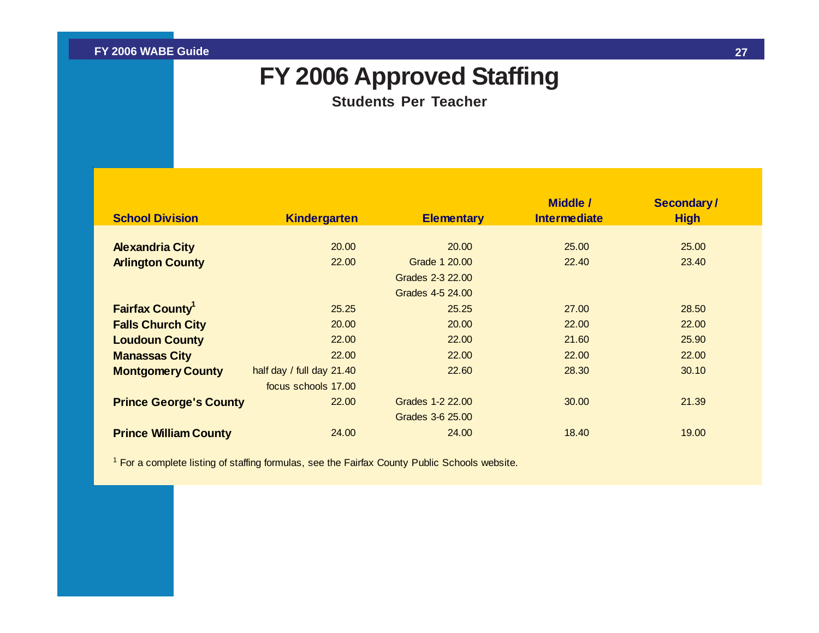### **FY 2006 Approved Staffing**

**Students Per Teacher**

<span id="page-27-0"></span>

|                                    |                             |                   | <b>Middle /</b>     | <b>Secondary/</b> |
|------------------------------------|-----------------------------|-------------------|---------------------|-------------------|
| <b>School Division</b>             | <b>Kindergarten</b>         | <b>Elementary</b> | <b>Intermediate</b> | <b>High</b>       |
| <b>Alexandria City</b>             | 20.00                       | 20.00             | 25.00               | 25.00             |
| <b>Arlington County</b>            | 22.00                       | Grade 1 20.00     | 22.40               | 23.40             |
|                                    |                             | Grades 2-3 22.00  |                     |                   |
|                                    |                             | Grades 4-5 24.00  |                     |                   |
| <b>Fairfax County</b> <sup>1</sup> | 25.25                       | 25.25             | 27,00               | 28.50             |
| <b>Falls Church City</b>           | 20.00                       | 20.00             | 22,00               | 22.00             |
| <b>Loudoun County</b>              | 22.00                       | 22.00             | 21.60               | 25.90             |
| <b>Manassas City</b>               | 22.00                       | 22.00             | 22,00               | 22,00             |
| <b>Montgomery County</b>           | half day / full day $21.40$ | 22.60             | 28.30               | 30.10             |
|                                    | focus schools 17.00         |                   |                     |                   |
| <b>Prince George's County</b>      | 22.00                       | Grades 1-2 22.00  | 30.00               | 21.39             |
|                                    |                             | Grades 3-6 25.00  |                     |                   |
| <b>Prince William County</b>       | 24.00                       | 24.00             | 18.40               | 19.00             |

<sup>1</sup> For a complete listing of staffing formulas, see the Fairfax County Public Schools website.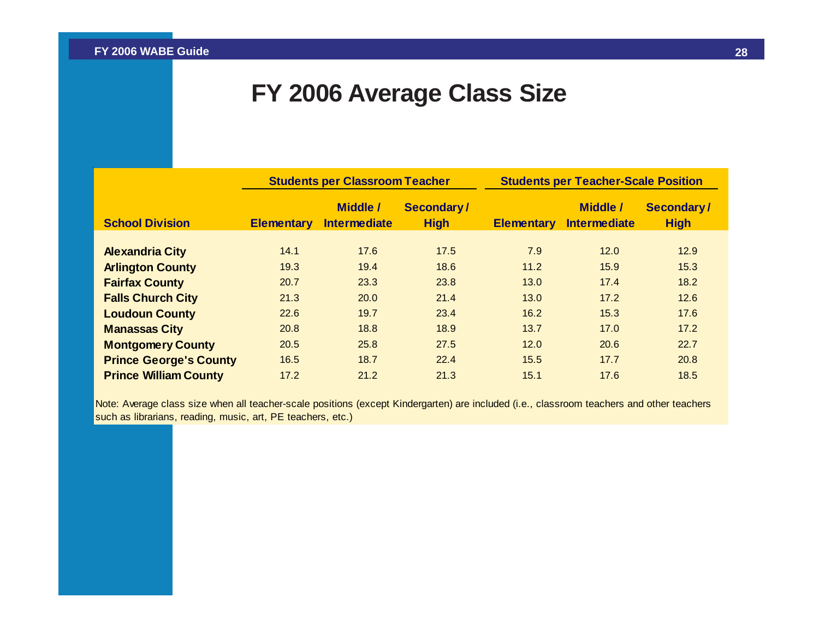### **FY 2006 Average Class Size**

<span id="page-28-0"></span>

|                               | <b>Students per Classroom Teacher</b> |                                        |                           | <b>Students per Teacher-Scale Position</b> |                                        |                           |  |
|-------------------------------|---------------------------------------|----------------------------------------|---------------------------|--------------------------------------------|----------------------------------------|---------------------------|--|
| <b>School Division</b>        | <b>Elementary</b>                     | <b>Middle /</b><br><b>Intermediate</b> | Secondary/<br><b>High</b> | <b>Elementary</b>                          | <b>Middle /</b><br><b>Intermediate</b> | Secondary/<br><b>High</b> |  |
|                               |                                       |                                        |                           |                                            |                                        |                           |  |
| <b>Alexandria City</b>        | 14.1                                  | 17.6                                   | 17.5                      | 7.9                                        | 12.0                                   | 12.9                      |  |
| <b>Arlington County</b>       | 19.3                                  | 19.4                                   | 18.6                      | 11.2                                       | 15.9                                   | 15.3                      |  |
| <b>Fairfax County</b>         | 20.7                                  | 23.3                                   | 23.8                      | 13.0                                       | 17.4                                   | 18.2                      |  |
| <b>Falls Church City</b>      | 21.3                                  | 20.0                                   | 21.4                      | 13.0                                       | 17.2                                   | 12.6                      |  |
| <b>Loudoun County</b>         | 22.6                                  | 19.7                                   | 23.4                      | 16.2                                       | 15.3                                   | 17.6                      |  |
| <b>Manassas City</b>          | 20.8                                  | 18.8                                   | 18.9                      | 13.7                                       | 17.0                                   | 17.2                      |  |
| <b>Montgomery County</b>      | 20.5                                  | 25.8                                   | 27.5                      | 12.0                                       | 20.6                                   | 22.7                      |  |
| <b>Prince George's County</b> | 16.5                                  | 18.7                                   | 22.4                      | 15.5                                       | 17.7                                   | 20.8                      |  |
| <b>Prince William County</b>  | 17.2                                  | 21.2                                   | 21.3                      | 15.1                                       | 17.6                                   | 18.5                      |  |

Note: Average class size when all teacher-scale positions (except Kindergarten) are included (i.e., classroom teachers and other teachers such as librarians, reading, music, art, PE teachers, etc.)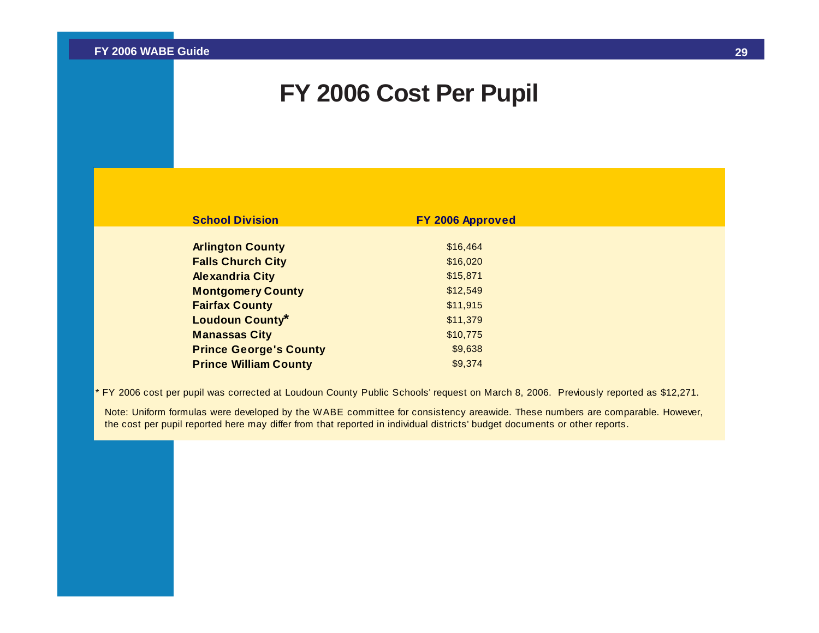### **FY 2006 Cost Per Pupil**

| <b>School Division</b>        | FY 2006 Approved |  |
|-------------------------------|------------------|--|
|                               |                  |  |
| <b>Arlington County</b>       | \$16,464         |  |
| <b>Falls Church City</b>      | \$16,020         |  |
| <b>Alexandria City</b>        | \$15,871         |  |
| <b>Montgomery County</b>      | \$12,549         |  |
| <b>Fairfax County</b>         | \$11,915         |  |
| <b>Loudoun County*</b>        | \$11,379         |  |
| <b>Manassas City</b>          | \$10,775         |  |
| <b>Prince George's County</b> | \$9,638          |  |
| <b>Prince William County</b>  | \$9.374          |  |

FY 2006 cost per pupil was corrected at Loudoun County Public Schools' request on March 8, 2006. Previously reported as \$12,271.

Note: Uniform formulas were developed by the WABE committee for consistency areawide. These numbers are comparable. However, the cost per pupil reported here may differ from that reported in individual districts' budget documents or other reports.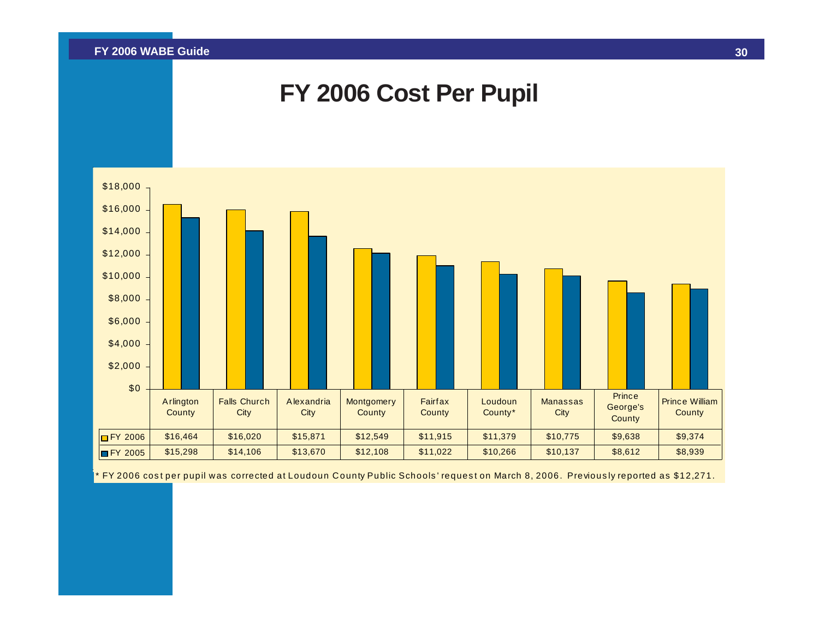



\* FY 2006 cos t per pupil was corrected at Loudoun C ounty Public Schools ' reques t on March 8, 2006. Previous ly reported as \$12,271.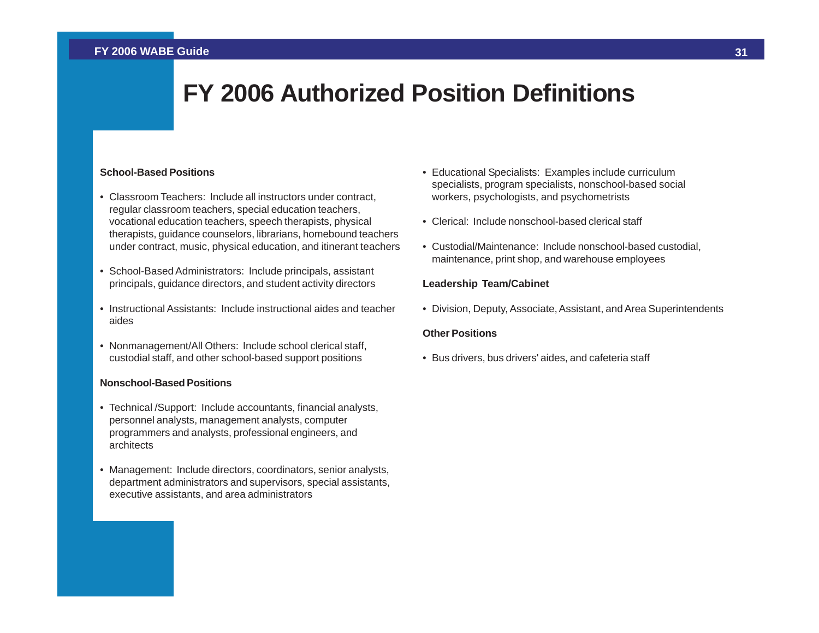### **FY 2006 Authorized Position Definitions**

#### <span id="page-31-0"></span>**School-Based Positions**

- Classroom Teachers: Include all instructors under contract, regular classroom teachers, special education teachers, vocational education teachers, speech therapists, physical therapists, guidance counselors, librarians, homebound teachers under contract, music, physical education, and itinerant teachers
- School-Based Administrators: Include principals, assistant principals, guidance directors, and student activity directors
- Instructional Assistants: Include instructional aides and teacher aides
- Nonmanagement/All Others: Include school clerical staff, custodial staff, and other school-based support positions

#### **Nonschool-Based Positions**

- Technical /Support: Include accountants, financial analysts, personnel analysts, management analysts, computer programmers and analysts, professional engineers, and architects
- Management: Include directors, coordinators, senior analysts, department administrators and supervisors, special assistants, executive assistants, and area administrators
- Educational Specialists: Examples include curriculum specialists, program specialists, nonschool-based social workers, psychologists, and psychometrists
- Clerical: Include nonschool-based clerical staff
- Custodial/Maintenance: Include nonschool-based custodial, maintenance, print shop, and warehouse employees

#### **Leadership Team/Cabinet**

• Division, Deputy, Associate, Assistant, and Area Superintendents

#### **Other Positions**

• Bus drivers, bus drivers' aides, and cafeteria staff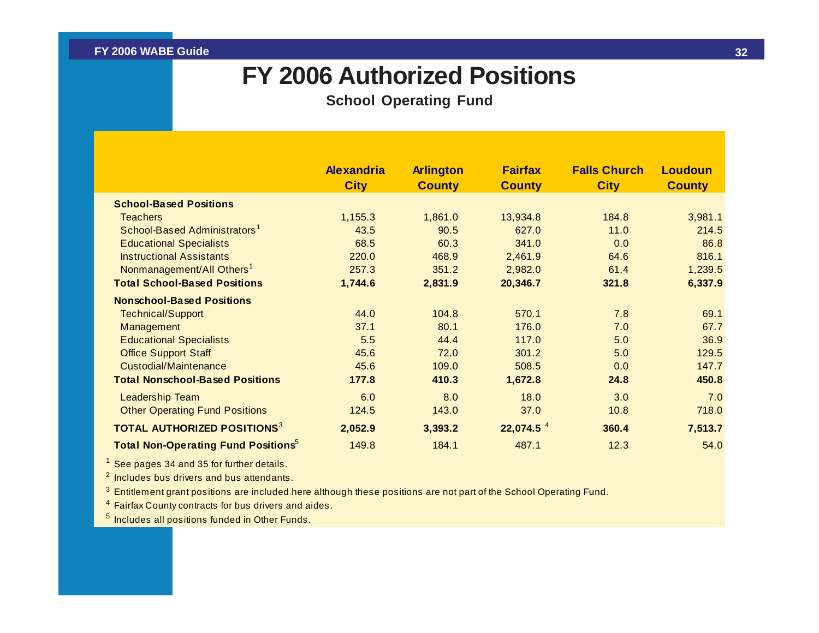### **FY 2006 Authorized Positions**

**School Operating Fund**

<span id="page-32-0"></span>

|                                                        | <b>Alexandria</b><br><b>City</b> | <b>Arlington</b><br><b>County</b> | <b>Fairfax</b><br><b>County</b> | <b>Falls Church</b><br><b>City</b> | <b>Loudoun</b><br><b>County</b> |
|--------------------------------------------------------|----------------------------------|-----------------------------------|---------------------------------|------------------------------------|---------------------------------|
| <b>School-Based Positions</b>                          |                                  |                                   |                                 |                                    |                                 |
| <b>Teachers</b>                                        | 1,155.3                          | 1,861.0                           | 13,934.8                        | 184.8                              | 3,981.1                         |
| School-Based Administrators <sup>1</sup>               | 43.5                             | 90.5                              | 627.0                           | 11.0                               | 214.5                           |
| <b>Educational Specialists</b>                         | 68.5                             | 60.3                              | 341.0                           | 0.0                                | 86.8                            |
| <b>Instructional Assistants</b>                        | 220.0                            | 468.9                             | 2,461.9                         | 64.6                               | 816.1                           |
| Nonmanagement/All Others <sup>1</sup>                  | 257.3                            | 351.2                             | 2,982.0                         | 61.4                               | 1,239.5                         |
| <b>Total School-Based Positions</b>                    | 1,744.6                          | 2,831.9                           | 20,346.7                        | 321.8                              | 6,337.9                         |
| <b>Nonschool-Based Positions</b>                       |                                  |                                   |                                 |                                    |                                 |
| <b>Technical/Support</b>                               | 44.0                             | 104.8                             | 570.1                           | 7.8                                | 69.1                            |
| Management                                             | 37.1                             | 80.1                              | 176.0                           | 7.0                                | 67.7                            |
| <b>Educational Specialists</b>                         | 5.5                              | 44.4                              | 117.0                           | 5.0                                | 36.9                            |
| <b>Office Support Staff</b>                            | 45.6                             | 72.0                              | 301.2                           | 5.0                                | 129.5                           |
| Custodial/Maintenance                                  | 45.6                             | 109.0                             | 508.5                           | 0.0                                | 147.7                           |
| <b>Total Nonschool-Based Positions</b>                 | 177.8                            | 410.3                             | 1,672.8                         | 24.8                               | 450.8                           |
| <b>Leadership Team</b>                                 | 6.0                              | 8.0                               | 18.0                            | 3.0                                | 7.0                             |
| <b>Other Operating Fund Positions</b>                  | 124.5                            | 143.0                             | 37.0                            | 10.8                               | 718.0                           |
| <b>TOTAL AUTHORIZED POSITIONS<sup>3</sup></b>          | 2,052.9                          | 3,393.2                           | 22,074.5 <sup>4</sup>           | 360.4                              | 7,513.7                         |
| <b>Total Non-Operating Fund Positions</b> <sup>5</sup> | 149.8                            | 184.1                             | 487.1                           | 12.3                               | 54.0                            |

1 See pages 34 and 35 for further details.

 $2$  Includes bus drivers and bus attendants.

 $^3$  Entitlement grant positions are included here although these positions are not part of the School Operating Fund.

<sup>4</sup> Fairfax County contracts for bus drivers and aides.

<sup>5</sup> Includes all positions funded in Other Funds.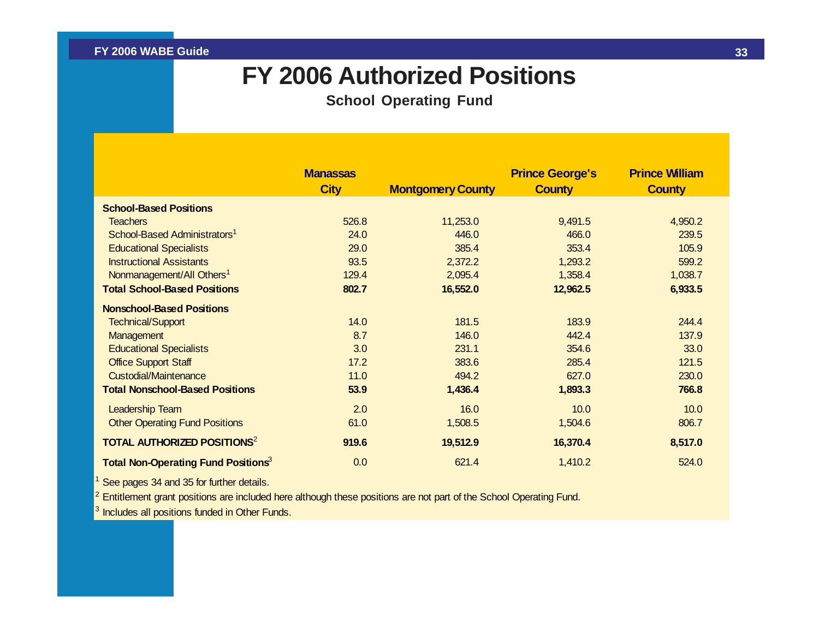### **FY 2006 Authorized Positions**

**School Operating Fund**

|                                                        | <b>Manassas</b><br><b>City</b> | <b>Montgomery County</b> | <b>Prince George's</b><br><b>County</b> | <b>Prince William</b><br><b>County</b> |
|--------------------------------------------------------|--------------------------------|--------------------------|-----------------------------------------|----------------------------------------|
| <b>School-Based Positions</b>                          |                                |                          |                                         |                                        |
| <b>Teachers</b>                                        | 526.8                          | 11,253.0                 | 9,491.5                                 | 4,950.2                                |
| School-Based Administrators <sup>1</sup>               | 24.0                           | 446.0                    | 466.0                                   | 239.5                                  |
| <b>Educational Specialists</b>                         | 29.0                           | 385.4                    | 353.4                                   | 105.9                                  |
| <b>Instructional Assistants</b>                        | 93.5                           | 2,372.2                  | 1,293.2                                 | 599.2                                  |
| Nonmanagement/All Others <sup>1</sup>                  | 129.4                          | 2,095.4                  | 1,358.4                                 | 1,038.7                                |
| <b>Total School-Based Positions</b>                    | 802.7                          | 16,552.0                 | 12,962.5                                | 6,933.5                                |
| <b>Nonschool-Based Positions</b>                       |                                |                          |                                         |                                        |
| <b>Technical/Support</b>                               | 14.0                           | 181.5                    | 183.9                                   | 244.4                                  |
| Management                                             | 8.7                            | 146.0                    | 442.4                                   | 137.9                                  |
| <b>Educational Specialists</b>                         | 3.0                            | 231.1                    | 354.6                                   | 33.0                                   |
| <b>Office Support Staff</b>                            | 17.2                           | 383.6                    | 285.4                                   | 121.5                                  |
| <b>Custodial/Maintenance</b>                           | 11.0                           | 494.2                    | 627.0                                   | 230.0                                  |
| <b>Total Nonschool-Based Positions</b>                 | 53.9                           | 1,436.4                  | 1,893.3                                 | 766.8                                  |
| <b>Leadership Team</b>                                 | 2.0                            | 16.0                     | 10.0                                    | 10.0                                   |
| <b>Other Operating Fund Positions</b>                  | 61.0                           | 1,508.5                  | 1,504.6                                 | 806.7                                  |
| <b>TOTAL AUTHORIZED POSITIONS<sup>2</sup></b>          | 919.6                          | 19,512.9                 | 16,370.4                                | 8,517.0                                |
| <b>Total Non-Operating Fund Positions</b> <sup>3</sup> | 0.0                            | 621.4                    | 1,410.2                                 | 524.0                                  |

See pages 34 and 35 for further details.

 $2$  Entitlement grant positions are included here although these positions are not part of the School Operating Fund.

<sup>3</sup> Includes all positions funded in Other Funds.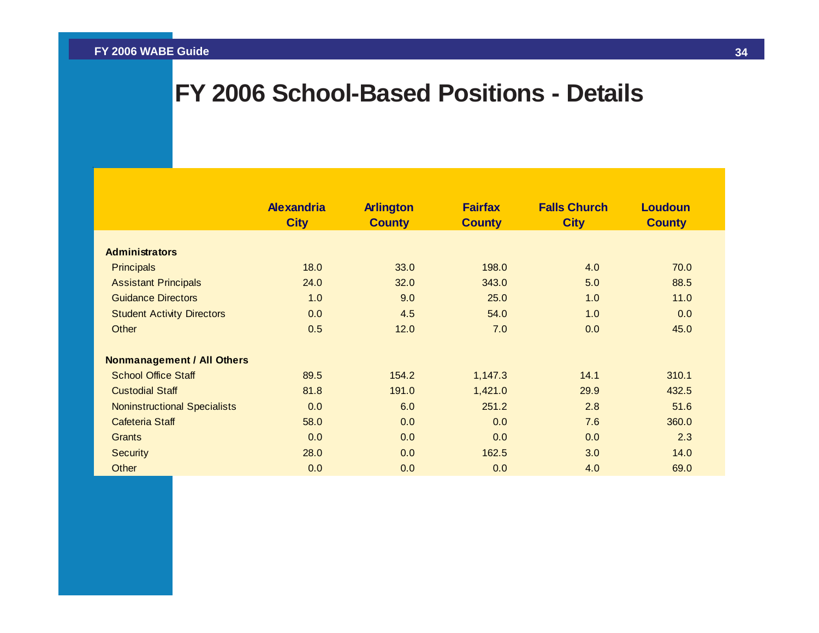## <span id="page-34-0"></span>**FY 2006 School-Based Positions - Details**

|                                     | <b>Alexandria</b><br><b>City</b> | <b>Arlington</b><br><b>County</b> | <b>Fairfax</b><br><b>County</b> | <b>Falls Church</b><br><b>City</b> | <b>Loudoun</b><br><b>County</b> |
|-------------------------------------|----------------------------------|-----------------------------------|---------------------------------|------------------------------------|---------------------------------|
|                                     |                                  |                                   |                                 |                                    |                                 |
| <b>Administrators</b>               |                                  |                                   |                                 |                                    |                                 |
| <b>Principals</b>                   | 18.0                             | 33.0                              | 198.0                           | 4.0                                | 70.0                            |
| <b>Assistant Principals</b>         | 24.0                             | 32.0                              | 343.0                           | 5.0                                | 88.5                            |
| <b>Guidance Directors</b>           | 1.0                              | 9.0                               | 25.0                            | 1.0                                | 11.0                            |
| <b>Student Activity Directors</b>   | 0.0                              | 4.5                               | 54.0                            | 1.0                                | 0.0                             |
| Other                               | 0.5                              | 12.0                              | 7.0                             | 0.0                                | 45.0                            |
| <b>Nonmanagement / All Others</b>   |                                  |                                   |                                 |                                    |                                 |
| <b>School Office Staff</b>          | 89.5                             | 154.2                             | 1,147.3                         | 14.1                               | 310.1                           |
| <b>Custodial Staff</b>              | 81.8                             | 191.0                             | 1,421.0                         | 29.9                               | 432.5                           |
| <b>Noninstructional Specialists</b> | 0.0                              | 6.0                               | 251.2                           | 2.8                                | 51.6                            |
| <b>Cafeteria Staff</b>              | 58.0                             | 0.0                               | 0.0                             | 7.6                                | 360.0                           |
| Grants                              | 0.0                              | 0.0                               | 0.0                             | 0.0                                | 2.3                             |
| <b>Security</b>                     | 28.0                             | 0.0                               | 162.5                           | 3.0                                | 14.0                            |
| Other                               | 0.0                              | 0.0                               | 0.0                             | 4.0                                | 69.0                            |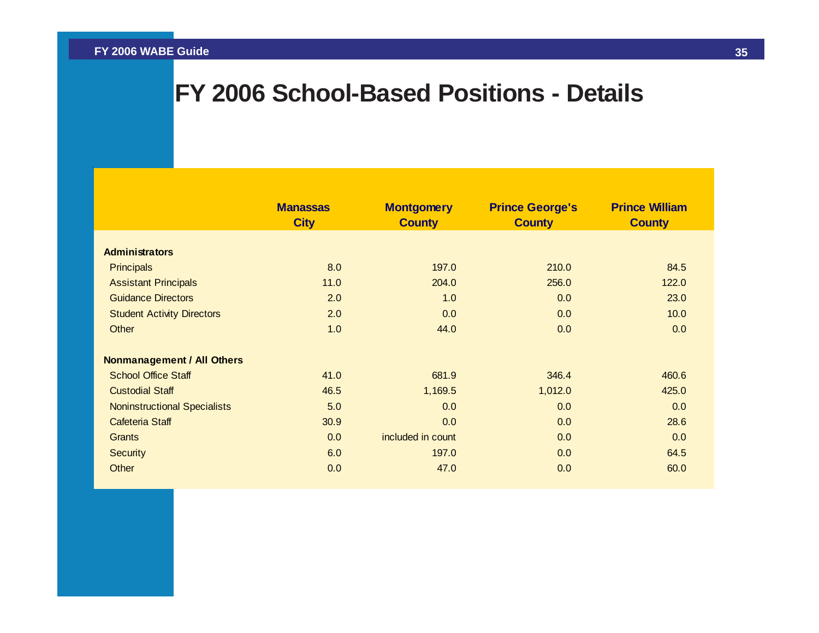## **FY 2006 School-Based Positions - Details**

|                                     | <b>Manassas</b><br><b>City</b> | <b>Montgomery</b><br><b>County</b> | <b>Prince George's</b><br><b>County</b> | <b>Prince William</b><br><b>County</b> |
|-------------------------------------|--------------------------------|------------------------------------|-----------------------------------------|----------------------------------------|
|                                     |                                |                                    |                                         |                                        |
| <b>Administrators</b>               |                                |                                    |                                         |                                        |
| <b>Principals</b>                   | 8.0                            | 197.0                              | 210.0                                   | 84.5                                   |
| <b>Assistant Principals</b>         | 11.0                           | 204.0                              | 256.0                                   | 122.0                                  |
| <b>Guidance Directors</b>           | 2.0                            | 1.0                                | 0.0                                     | 23.0                                   |
| <b>Student Activity Directors</b>   | 2.0                            | 0.0                                | 0.0                                     | 10.0                                   |
| Other                               | 1.0                            | 44.0                               | 0.0                                     | 0.0                                    |
| <b>Nonmanagement / All Others</b>   |                                |                                    |                                         |                                        |
| <b>School Office Staff</b>          | 41.0                           | 681.9                              | 346.4                                   | 460.6                                  |
| <b>Custodial Staff</b>              | 46.5                           | 1,169.5                            | 1,012.0                                 | 425.0                                  |
| <b>Noninstructional Specialists</b> | 5.0                            | 0.0                                | 0.0                                     | 0.0                                    |
| Cafeteria Staff                     | 30.9                           | 0.0                                | 0.0                                     | 28.6                                   |
| <b>Grants</b>                       | 0.0                            | included in count                  | 0.0                                     | 0.0                                    |
| <b>Security</b>                     | 6.0                            | 197.0                              | 0.0                                     | 64.5                                   |
| Other                               | 0.0                            | 47.0                               | 0.0                                     | 60.0                                   |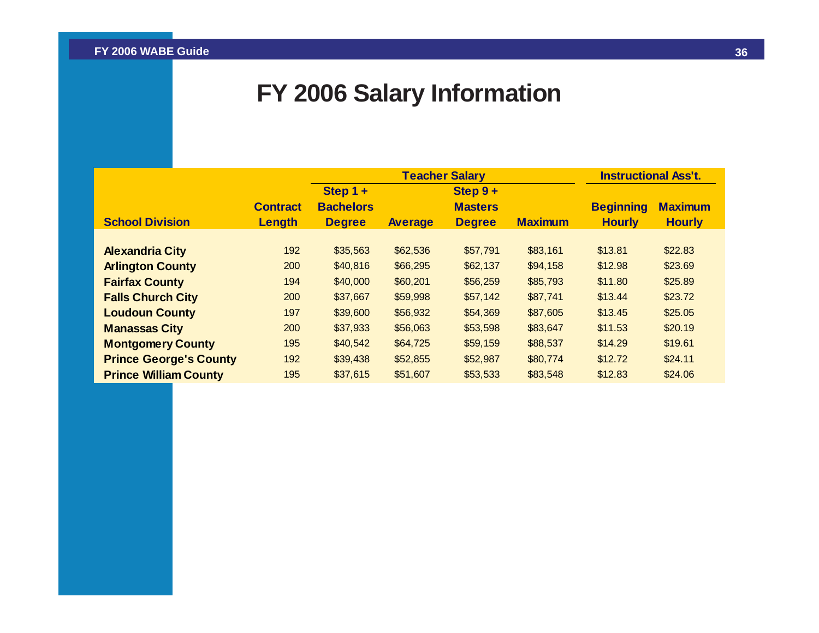## **FY 2006 Salary Information**

<span id="page-36-0"></span>

|                               |                 |                  | <b>Teacher Salary</b> | <b>Instructional Ass't.</b> |                |                  |                |
|-------------------------------|-----------------|------------------|-----------------------|-----------------------------|----------------|------------------|----------------|
|                               |                 | Step $1 +$       |                       | Step $9+$                   |                |                  |                |
|                               | <b>Contract</b> | <b>Bachelors</b> |                       | <b>Masters</b>              |                | <b>Beginning</b> | <b>Maximum</b> |
| <b>School Division</b>        | Length          | <b>Degree</b>    | <b>Average</b>        | <b>Degree</b>               | <b>Maximum</b> | <b>Hourly</b>    | <b>Hourly</b>  |
|                               |                 |                  |                       |                             |                |                  |                |
| <b>Alexandria City</b>        | 192             | \$35,563         | \$62,536              | \$57,791                    | \$83,161       | \$13.81          | \$22.83        |
| <b>Arlington County</b>       | 200             | \$40,816         | \$66,295              | \$62,137                    | \$94,158       | \$12.98          | \$23.69        |
| <b>Fairfax County</b>         | 194             | \$40,000         | \$60,201              | \$56,259                    | \$85,793       | \$11.80          | \$25.89        |
| <b>Falls Church City</b>      | 200             | \$37,667         | \$59,998              | \$57,142                    | \$87,741       | \$13.44          | \$23.72        |
| <b>Loudoun County</b>         | 197             | \$39,600         | \$56,932              | \$54,369                    | \$87,605       | \$13.45          | \$25.05        |
| <b>Manassas City</b>          | 200             | \$37,933         | \$56,063              | \$53,598                    | \$83,647       | \$11.53          | \$20.19        |
| <b>Montgomery County</b>      | 195             | \$40,542         | \$64,725              | \$59,159                    | \$88,537       | \$14.29          | \$19.61        |
| <b>Prince George's County</b> | 192             | \$39,438         | \$52,855              | \$52,987                    | \$80,774       | \$12.72          | \$24.11        |
| <b>Prince William County</b>  | 195             | \$37,615         | \$51,607              | \$53,533                    | \$83,548       | \$12.83          | \$24.06        |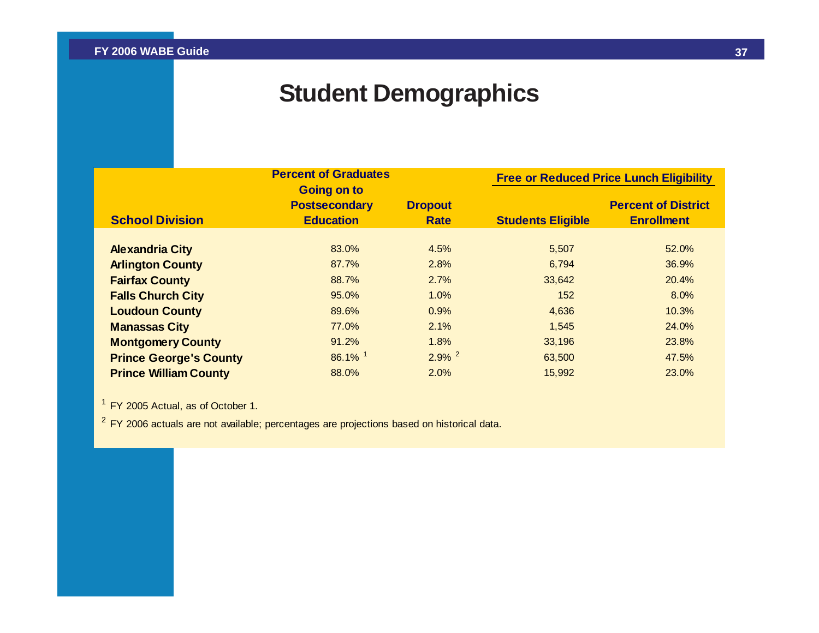## **Student Demographics**

<span id="page-37-0"></span>

|                               | <b>Percent of Graduates</b><br><b>Going on to</b> |                      | <b>Free or Reduced Price Lunch Eligibility</b> |                            |  |
|-------------------------------|---------------------------------------------------|----------------------|------------------------------------------------|----------------------------|--|
|                               | <b>Postsecondary</b>                              | <b>Dropout</b>       |                                                | <b>Percent of District</b> |  |
| <b>School Division</b>        | <b>Education</b>                                  | <b>Rate</b>          | <b>Students Eligible</b>                       | <b>Enrollment</b>          |  |
|                               |                                                   |                      |                                                |                            |  |
| <b>Alexandria City</b>        | 83.0%                                             | 4.5%                 | 5,507                                          | 52.0%                      |  |
| <b>Arlington County</b>       | 87.7%                                             | 2.8%                 | 6,794                                          | 36.9%                      |  |
| <b>Fairfax County</b>         | 88.7%                                             | 2.7%                 | 33,642                                         | 20.4%                      |  |
| <b>Falls Church City</b>      | 95.0%                                             | 1.0%                 | 152                                            | 8.0%                       |  |
| <b>Loudoun County</b>         | 89.6%                                             | 0.9%                 | 4,636                                          | 10.3%                      |  |
| <b>Manassas City</b>          | 77.0%                                             | 2.1%                 | 1,545                                          | 24.0%                      |  |
| <b>Montgomery County</b>      | 91.2%                                             | 1.8%                 | 33,196                                         | 23.8%                      |  |
| <b>Prince George's County</b> | 86.1% 1                                           | $2.9\%$ <sup>2</sup> | 63,500                                         | 47.5%                      |  |
| <b>Prince William County</b>  | 88.0%                                             | 2.0%                 | 15,992                                         | 23.0%                      |  |

 $<sup>1</sup>$  FY 2005 Actual, as of October 1.</sup>

<sup>2</sup> FY 2006 actuals are not available; percentages are projections based on historical data.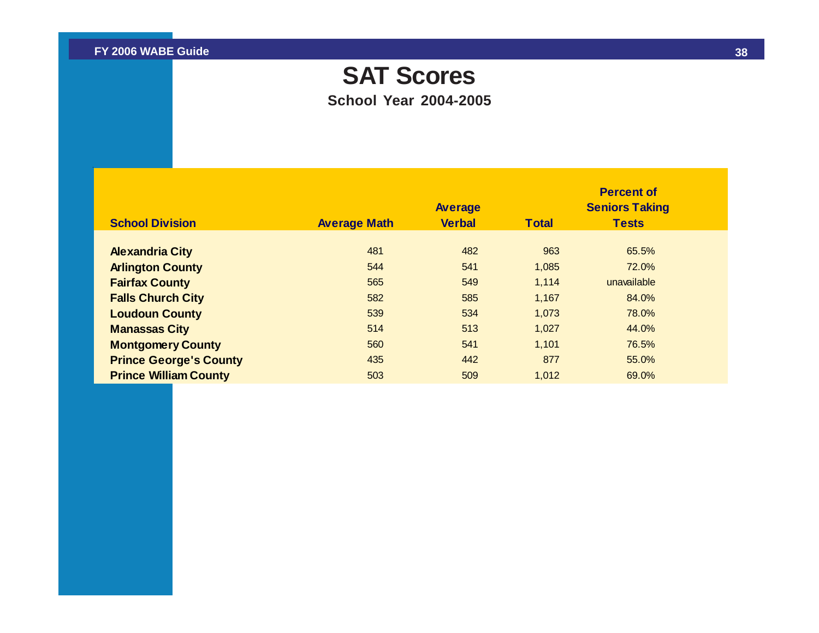## **SAT Scores**

**School Year 2004-2005**

<span id="page-38-0"></span>

| <b>School Division</b>        | <b>Average Math</b> | <b>Average</b><br><b>Verbal</b> | <b>Total</b> | <b>Percent of</b><br><b>Seniors Taking</b><br><b>Tests</b> |  |
|-------------------------------|---------------------|---------------------------------|--------------|------------------------------------------------------------|--|
| <b>Alexandria City</b>        | 481                 | 482                             | 963          | 65.5%                                                      |  |
| <b>Arlington County</b>       | 544                 | 541                             | 1,085        | 72.0%                                                      |  |
| <b>Fairfax County</b>         | 565                 | 549                             | 1,114        | unavailable                                                |  |
| <b>Falls Church City</b>      | 582                 | 585                             | 1,167        | 84.0%                                                      |  |
| <b>Loudoun County</b>         | 539                 | 534                             | 1,073        | 78.0%                                                      |  |
| <b>Manassas City</b>          | 514                 | 513                             | 1,027        | 44.0%                                                      |  |
| <b>Montgomery County</b>      | 560                 | 541                             | 1,101        | 76.5%                                                      |  |
| <b>Prince George's County</b> | 435                 | 442                             | 877          | 55.0%                                                      |  |
| <b>Prince William County</b>  | 503                 | 509                             | 1,012        | 69.0%                                                      |  |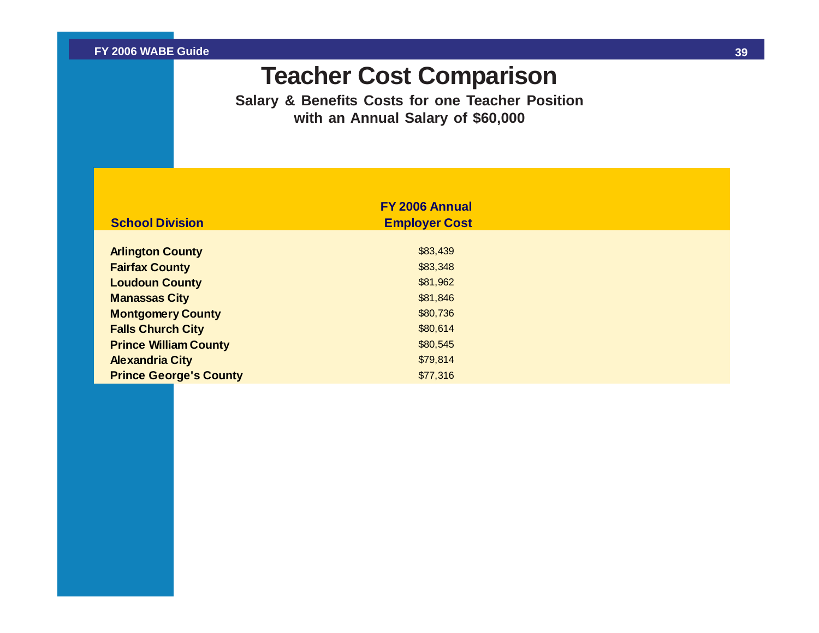## **Teacher Cost Comparison**

**Salary & Benefits Costs for one Teacher Position with an Annual Salary of \$60,000**

<span id="page-39-0"></span>

| <b>School Division</b>        | FY 2006 Annual       |  |
|-------------------------------|----------------------|--|
|                               | <b>Employer Cost</b> |  |
| <b>Arlington County</b>       | \$83,439             |  |
| <b>Fairfax County</b>         | \$83,348             |  |
| <b>Loudoun County</b>         | \$81,962             |  |
| <b>Manassas City</b>          | \$81,846             |  |
| <b>Montgomery County</b>      | \$80,736             |  |
| <b>Falls Church City</b>      | \$80,614             |  |
| <b>Prince William County</b>  | \$80,545             |  |
| <b>Alexandria City</b>        | \$79,814             |  |
| <b>Prince George's County</b> | \$77,316             |  |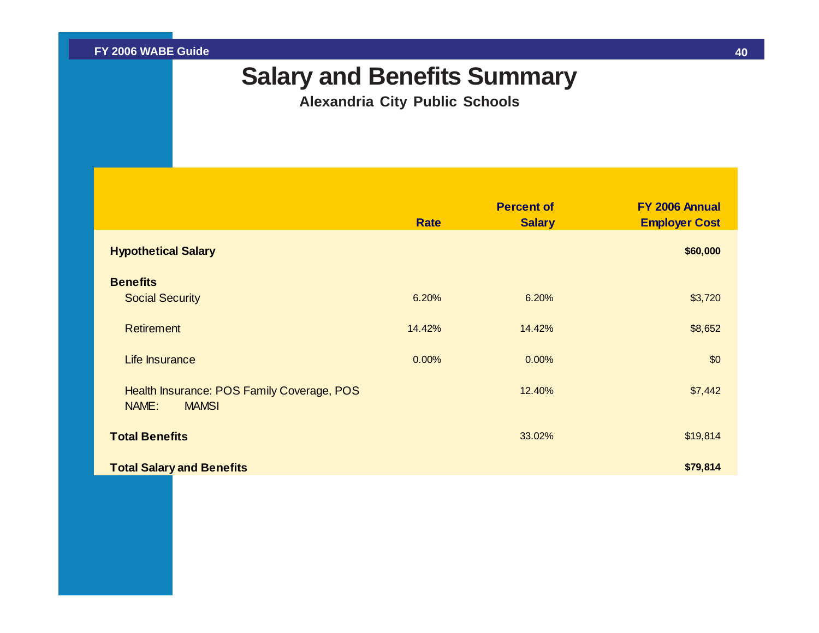## **Salary and Benefits Summary**

**Alexandria City Public Schools**

<span id="page-40-0"></span>

|                                                                     | <b>Rate</b> | <b>Percent of</b><br><b>Salary</b> | FY 2006 Annual<br><b>Employer Cost</b> |
|---------------------------------------------------------------------|-------------|------------------------------------|----------------------------------------|
| <b>Hypothetical Salary</b>                                          |             |                                    | \$60,000                               |
| <b>Benefits</b><br><b>Social Security</b>                           | 6.20%       | 6.20%                              | \$3,720                                |
| <b>Retirement</b>                                                   | 14.42%      | 14.42%                             | \$8,652                                |
| Life Insurance                                                      | 0.00%       | 0.00%                              | \$0                                    |
| Health Insurance: POS Family Coverage, POS<br>NAME:<br><b>MAMSI</b> |             | 12.40%                             | \$7,442                                |
| <b>Total Benefits</b>                                               |             | 33.02%                             | \$19,814                               |
| <b>Total Salary and Benefits</b>                                    |             |                                    | \$79,814                               |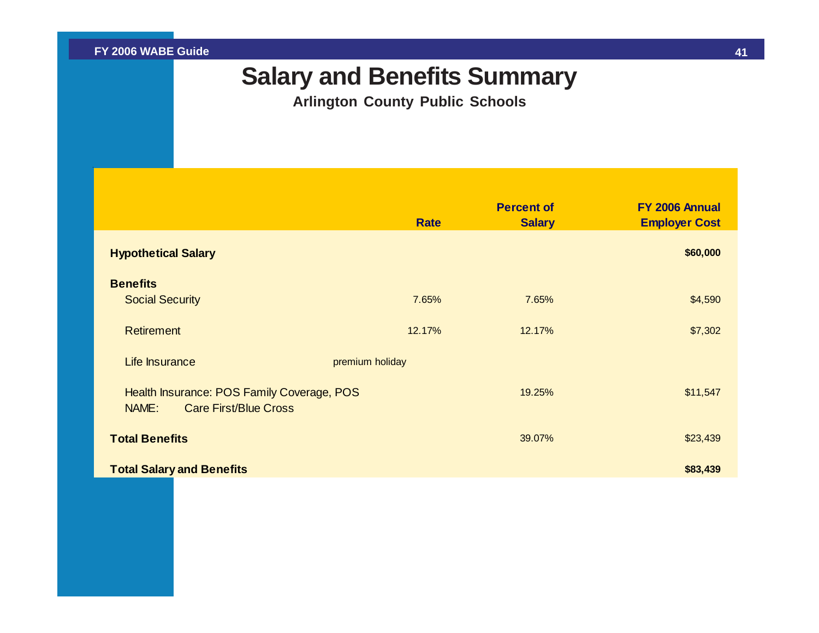## **Salary and Benefits Summary**

**Arlington County Public Schools**

<span id="page-41-0"></span>

|                                                                                     | <b>Rate</b>     | <b>Percent of</b><br><b>Salary</b> | FY 2006 Annual<br><b>Employer Cost</b> |
|-------------------------------------------------------------------------------------|-----------------|------------------------------------|----------------------------------------|
| <b>Hypothetical Salary</b>                                                          |                 |                                    | \$60,000                               |
| <b>Benefits</b><br><b>Social Security</b>                                           | 7.65%           | 7.65%                              | \$4,590                                |
| <b>Retirement</b>                                                                   | 12.17%          | 12.17%                             | \$7,302                                |
| Life Insurance                                                                      | premium holiday |                                    |                                        |
| Health Insurance: POS Family Coverage, POS<br><b>Care First/Blue Cross</b><br>NAME: |                 | 19.25%                             | \$11,547                               |
| <b>Total Benefits</b>                                                               |                 | 39.07%                             | \$23,439                               |
| <b>Total Salary and Benefits</b>                                                    |                 |                                    | \$83,439                               |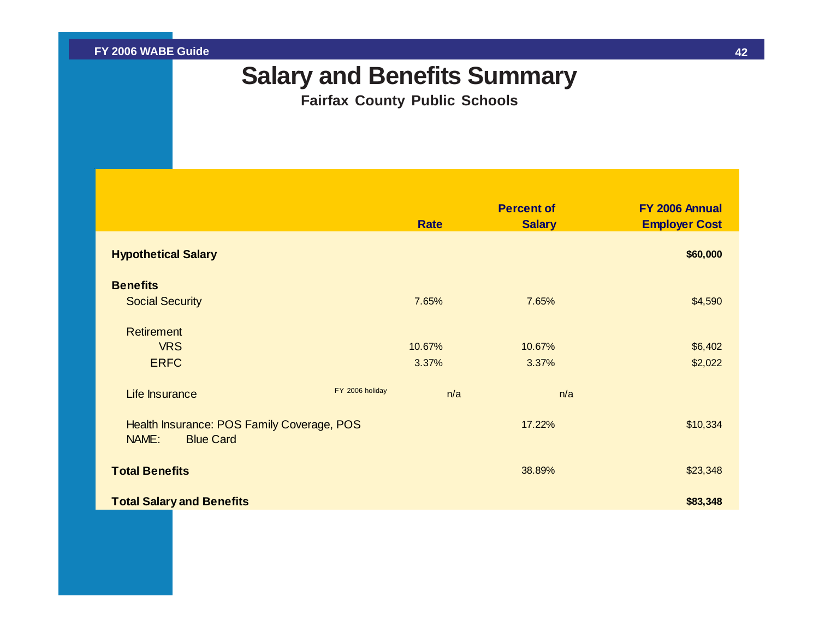## **Salary and Benefits Summary**

**Fairfax County Public Schools**

<span id="page-42-0"></span>

|                                                                         |                 | <b>Rate</b>     | <b>Percent of</b><br><b>Salary</b> | FY 2006 Annual<br><b>Employer Cost</b> |
|-------------------------------------------------------------------------|-----------------|-----------------|------------------------------------|----------------------------------------|
| <b>Hypothetical Salary</b>                                              |                 |                 |                                    | \$60,000                               |
| <b>Benefits</b><br><b>Social Security</b>                               |                 | 7.65%           | 7.65%                              | \$4,590                                |
| <b>Retirement</b><br><b>VRS</b><br><b>ERFC</b>                          |                 | 10.67%<br>3.37% | 10.67%<br>3.37%                    | \$6,402<br>\$2,022                     |
| Life Insurance                                                          | FY 2006 holiday | n/a             |                                    | n/a                                    |
| Health Insurance: POS Family Coverage, POS<br>NAME:<br><b>Blue Card</b> |                 |                 | 17.22%                             | \$10,334                               |
| <b>Total Benefits</b>                                                   |                 |                 | 38.89%                             | \$23,348                               |
| <b>Total Salary and Benefits</b>                                        |                 |                 |                                    | \$83,348                               |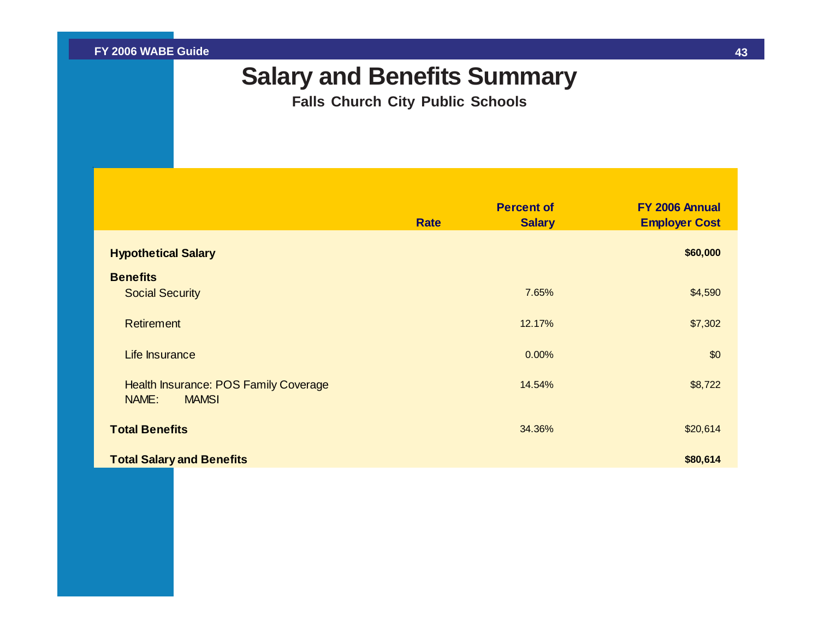## **Salary and Benefits Summary**

**Falls Church City Public Schools**

<span id="page-43-0"></span>

|                                                                | <b>Rate</b> | <b>Percent of</b><br><b>Salary</b> | FY 2006 Annual<br><b>Employer Cost</b> |
|----------------------------------------------------------------|-------------|------------------------------------|----------------------------------------|
| <b>Hypothetical Salary</b>                                     |             |                                    | \$60,000                               |
| <b>Benefits</b><br><b>Social Security</b>                      |             | 7.65%                              | \$4,590                                |
| <b>Retirement</b>                                              |             | 12.17%                             | \$7,302                                |
| Life Insurance                                                 |             | 0.00%                              | \$0                                    |
| Health Insurance: POS Family Coverage<br>NAME:<br><b>MAMSI</b> |             | 14.54%                             | \$8,722                                |
| <b>Total Benefits</b>                                          |             | 34.36%                             | \$20,614                               |
| <b>Total Salary and Benefits</b>                               |             |                                    | \$80,614                               |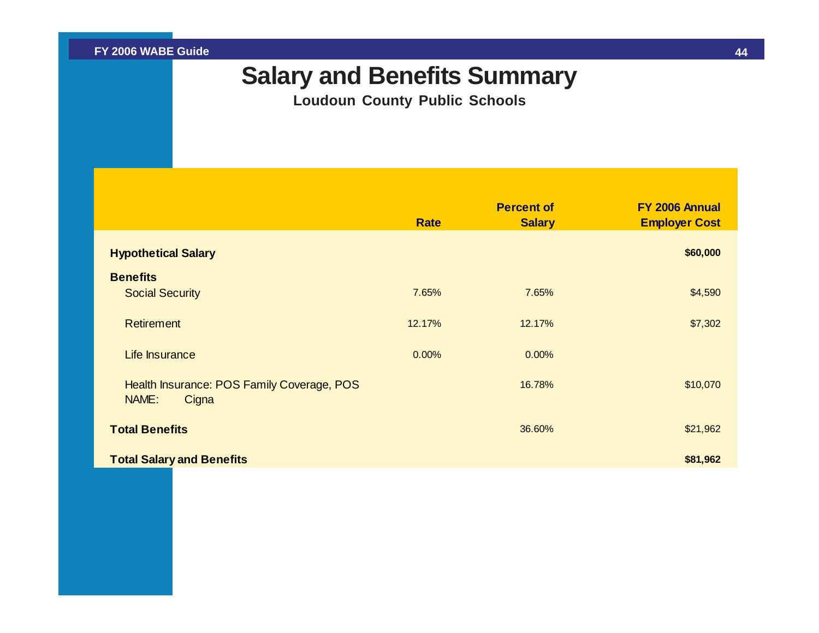## **Salary and Benefits Summary**

**Loudoun County Public Schools**

<span id="page-44-0"></span>

|                                                              | <b>Rate</b> | <b>Percent of</b><br><b>Salary</b> | FY 2006 Annual<br><b>Employer Cost</b> |
|--------------------------------------------------------------|-------------|------------------------------------|----------------------------------------|
| <b>Hypothetical Salary</b>                                   |             |                                    | \$60,000                               |
| <b>Benefits</b>                                              |             |                                    |                                        |
| <b>Social Security</b>                                       | 7.65%       | 7.65%                              | \$4,590                                |
| <b>Retirement</b>                                            | 12.17%      | 12.17%                             | \$7,302                                |
| Life Insurance                                               | 0.00%       | 0.00%                              |                                        |
| Health Insurance: POS Family Coverage, POS<br>NAME:<br>Cigna |             | 16.78%                             | \$10,070                               |
| <b>Total Benefits</b>                                        |             | 36.60%                             | \$21,962                               |
| <b>Total Salary and Benefits</b>                             |             |                                    | \$81,962                               |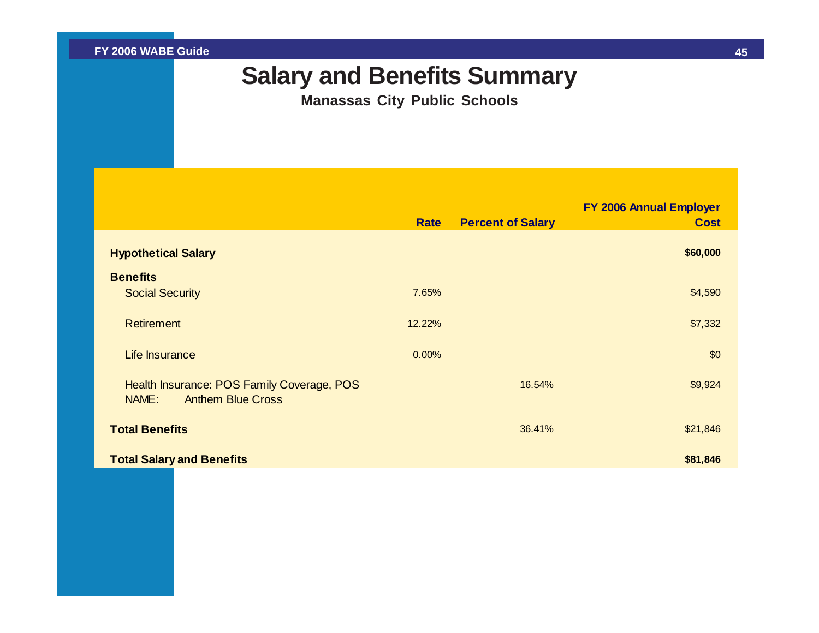## **Salary and Benefits Summary**

**Manassas City Public Schools**

<span id="page-45-0"></span>

|                                                                                 | <b>Rate</b> | <b>Percent of Salary</b> | FY 2006 Annual Employer<br><b>Cost</b> |
|---------------------------------------------------------------------------------|-------------|--------------------------|----------------------------------------|
| <b>Hypothetical Salary</b>                                                      |             |                          | \$60,000                               |
| <b>Benefits</b>                                                                 |             |                          |                                        |
| <b>Social Security</b>                                                          | 7.65%       |                          | \$4,590                                |
| <b>Retirement</b>                                                               | 12.22%      |                          | \$7,332                                |
| Life Insurance                                                                  | 0.00%       |                          | \$0                                    |
| Health Insurance: POS Family Coverage, POS<br><b>Anthem Blue Cross</b><br>NAME: |             | 16.54%                   | \$9,924                                |
| <b>Total Benefits</b>                                                           |             | 36.41%                   | \$21,846                               |
| <b>Total Salary and Benefits</b>                                                |             |                          | \$81,846                               |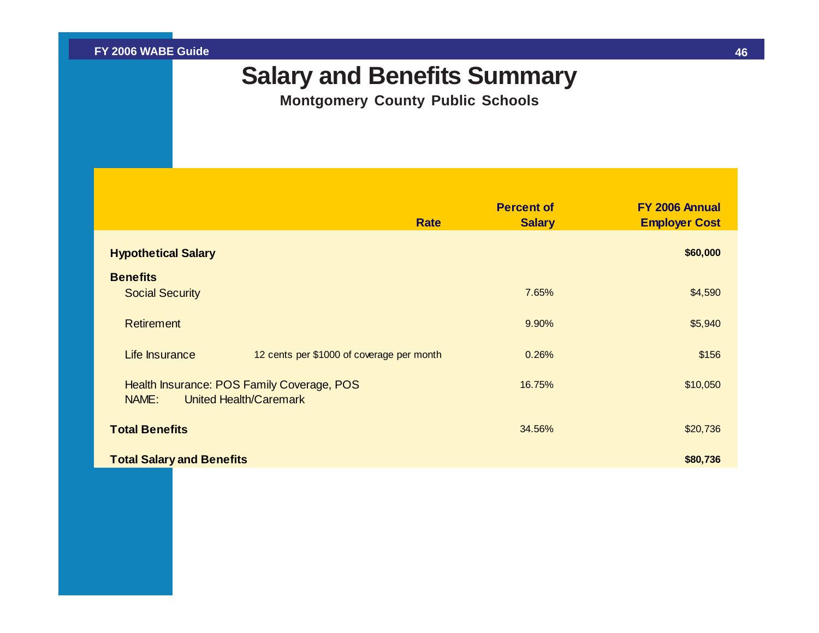## **Salary and Benefits Summary**

**Montgomery County Public Schools**

<span id="page-46-0"></span>

|                                                                               | <b>Rate</b>                               | <b>Percent of</b><br><b>Salary</b> | FY 2006 Annual<br><b>Employer Cost</b> |
|-------------------------------------------------------------------------------|-------------------------------------------|------------------------------------|----------------------------------------|
| <b>Hypothetical Salary</b>                                                    |                                           |                                    | \$60,000                               |
| <b>Benefits</b><br><b>Social Security</b>                                     |                                           | 7.65%                              | \$4,590                                |
| <b>Retirement</b>                                                             |                                           | 9.90%                              | \$5,940                                |
| Life Insurance                                                                | 12 cents per \$1000 of coverage per month | 0.26%                              | \$156                                  |
| Health Insurance: POS Family Coverage, POS<br>United Health/Caremark<br>NAME: |                                           | 16.75%                             | \$10,050                               |
| <b>Total Benefits</b>                                                         |                                           | 34.56%                             | \$20,736                               |
| <b>Total Salary and Benefits</b>                                              |                                           |                                    | \$80,736                               |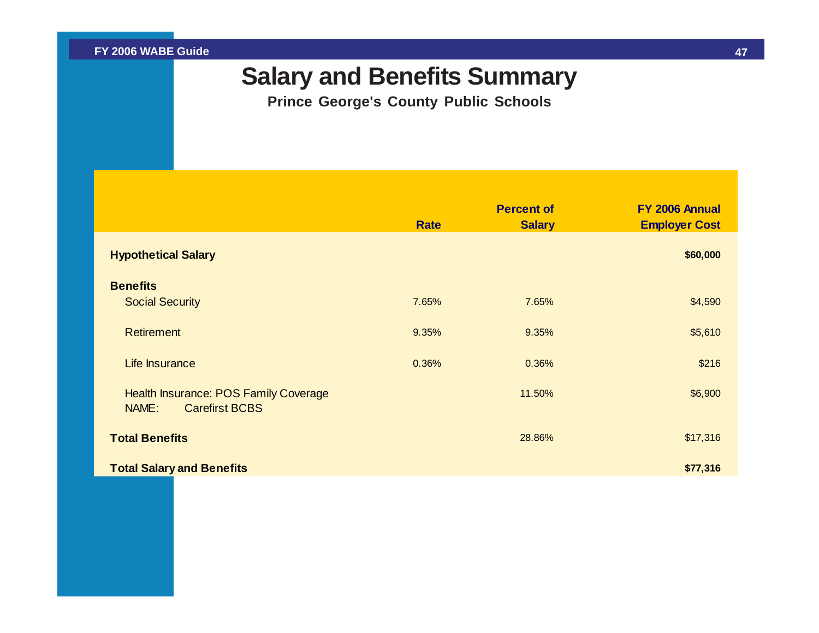## **Salary and Benefits Summary**

**Prince George's County Public Schools**

<span id="page-47-0"></span>

|                                                                         | <b>Rate</b> | <b>Percent of</b><br><b>Salary</b> | FY 2006 Annual<br><b>Employer Cost</b> |
|-------------------------------------------------------------------------|-------------|------------------------------------|----------------------------------------|
| <b>Hypothetical Salary</b>                                              |             |                                    | \$60,000                               |
| <b>Benefits</b>                                                         |             |                                    |                                        |
| <b>Social Security</b>                                                  | 7.65%       | 7.65%                              | \$4,590                                |
| <b>Retirement</b>                                                       | 9.35%       | 9.35%                              | \$5,610                                |
| Life Insurance                                                          | 0.36%       | 0.36%                              | \$216                                  |
| Health Insurance: POS Family Coverage<br><b>Carefirst BCBS</b><br>NAME: |             | 11.50%                             | \$6,900                                |
| <b>Total Benefits</b>                                                   |             | 28.86%                             | \$17,316                               |
| <b>Total Salary and Benefits</b>                                        |             |                                    | \$77,316                               |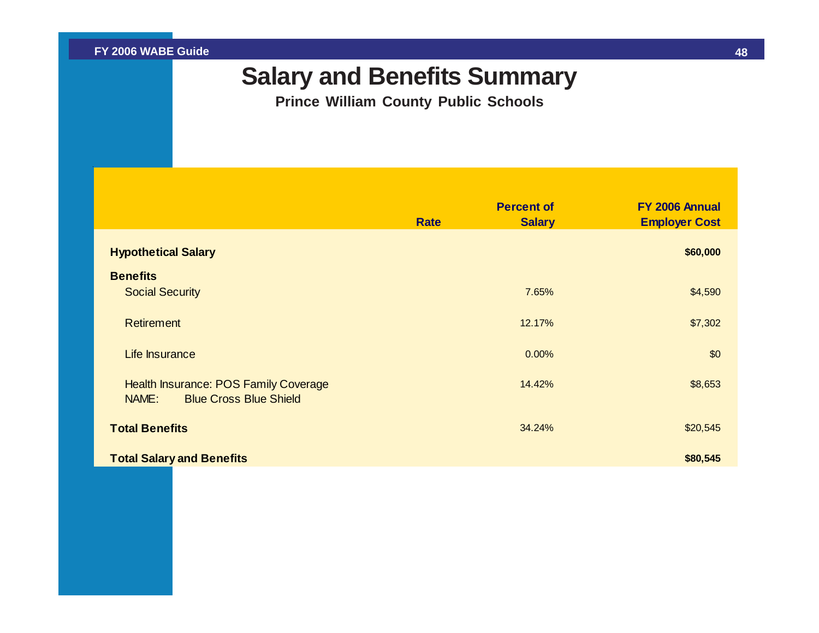## **Salary and Benefits Summary**

**Prince William County Public Schools**

<span id="page-48-0"></span>

|                                                                                 | <b>Rate</b> | <b>Percent of</b><br><b>Salary</b> | FY 2006 Annual<br><b>Employer Cost</b> |
|---------------------------------------------------------------------------------|-------------|------------------------------------|----------------------------------------|
| <b>Hypothetical Salary</b>                                                      |             |                                    | \$60,000                               |
| <b>Benefits</b>                                                                 |             |                                    |                                        |
| <b>Social Security</b>                                                          |             | 7.65%                              | \$4,590                                |
| <b>Retirement</b>                                                               |             | 12.17%                             | \$7,302                                |
| Life Insurance                                                                  |             | 0.00%                              | \$0                                    |
| Health Insurance: POS Family Coverage<br><b>Blue Cross Blue Shield</b><br>NAME: |             | 14.42%                             | \$8,653                                |
| <b>Total Benefits</b>                                                           |             | 34.24%                             | \$20,545                               |
| <b>Total Salary and Benefits</b>                                                |             |                                    | \$80,545                               |